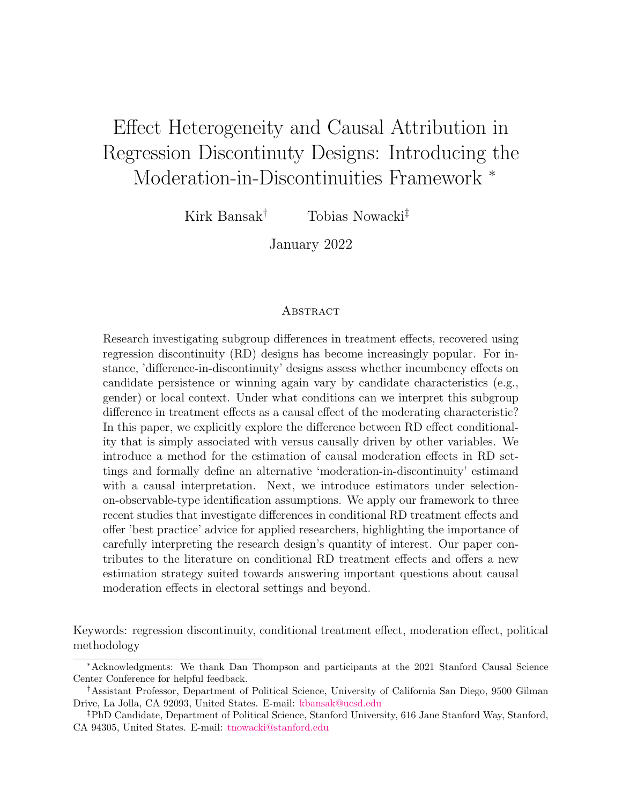# <span id="page-0-0"></span>Effect Heterogeneity and Causal Attribution in Regression Discontinuty Designs: Introducing the Moderation-in-Discontinuities Framework <sup>∗</sup>

Kirk Bansak<sup>†</sup> Tobias Nowacki<sup>‡</sup>

January 2022

# **ABSTRACT**

Research investigating subgroup differences in treatment effects, recovered using regression discontinuity (RD) designs has become increasingly popular. For instance, 'difference-in-discontinuity' designs assess whether incumbency effects on candidate persistence or winning again vary by candidate characteristics (e.g., gender) or local context. Under what conditions can we interpret this subgroup difference in treatment effects as a causal effect of the moderating characteristic? In this paper, we explicitly explore the difference between RD effect conditionality that is simply associated with versus causally driven by other variables. We introduce a method for the estimation of causal moderation effects in RD settings and formally define an alternative 'moderation-in-discontinuity' estimand with a causal interpretation. Next, we introduce estimators under selectionon-observable-type identification assumptions. We apply our framework to three recent studies that investigate differences in conditional RD treatment effects and offer 'best practice' advice for applied researchers, highlighting the importance of carefully interpreting the research design's quantity of interest. Our paper contributes to the literature on conditional RD treatment effects and offers a new estimation strategy suited towards answering important questions about causal moderation effects in electoral settings and beyond.

Keywords: regression discontinuity, conditional treatment effect, moderation effect, political methodology

<sup>∗</sup>Acknowledgments: We thank Dan Thompson and participants at the 2021 Stanford Causal Science Center Conference for helpful feedback.

<sup>†</sup>Assistant Professor, Department of Political Science, University of California San Diego, 9500 Gilman Drive, La Jolla, CA 92093, United States. E-mail: [kbansak@ucsd.edu](mailto:kbansak@ucsd.edu)

<sup>‡</sup>PhD Candidate, Department of Political Science, Stanford University, 616 Jane Stanford Way, Stanford, CA 94305, United States. E-mail: [tnowacki@stanford.edu](mailto:tnowacki@stanford.edu)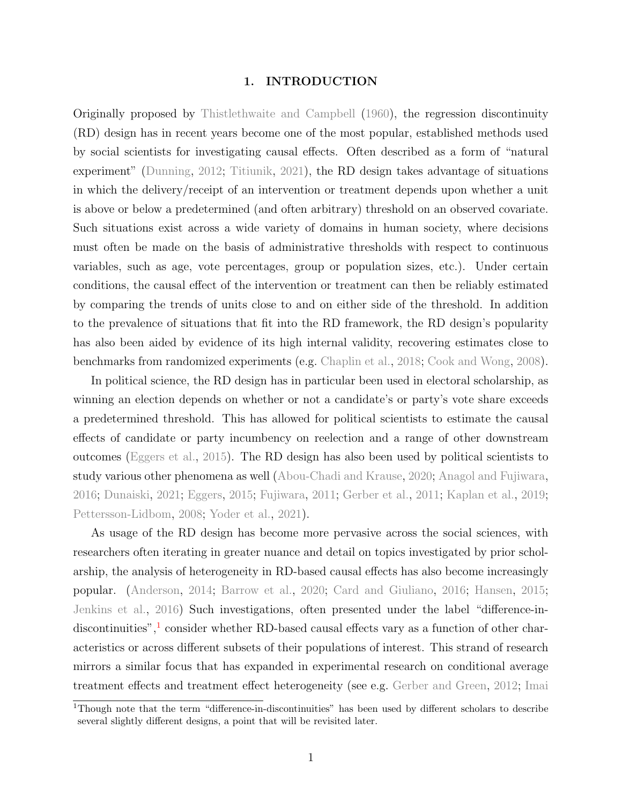## 1. INTRODUCTION

Originally proposed by [Thistlethwaite and Campbell](#page-38-0) [\(1960\)](#page-38-0), the regression discontinuity (RD) design has in recent years become one of the most popular, established methods used by social scientists for investigating causal effects. Often described as a form of "natural experiment" [\(Dunning,](#page-35-0) [2012;](#page-35-0) [Titiunik,](#page-38-1) [2021\)](#page-38-1), the RD design takes advantage of situations in which the delivery/receipt of an intervention or treatment depends upon whether a unit is above or below a predetermined (and often arbitrary) threshold on an observed covariate. Such situations exist across a wide variety of domains in human society, where decisions must often be made on the basis of administrative thresholds with respect to continuous variables, such as age, vote percentages, group or population sizes, etc.). Under certain conditions, the causal effect of the intervention or treatment can then be reliably estimated by comparing the trends of units close to and on either side of the threshold. In addition to the prevalence of situations that fit into the RD framework, the RD design's popularity has also been aided by evidence of its high internal validity, recovering estimates close to benchmarks from randomized experiments (e.g. [Chaplin et al.,](#page-35-1) [2018;](#page-35-1) [Cook and Wong,](#page-35-2) [2008\)](#page-35-2).

In political science, the RD design has in particular been used in electoral scholarship, as winning an election depends on whether or not a candidate's or party's vote share exceeds a predetermined threshold. This has allowed for political scientists to estimate the causal effects of candidate or party incumbency on reelection and a range of other downstream outcomes [\(Eggers et al.,](#page-36-0) [2015\)](#page-36-0). The RD design has also been used by political scientists to study various other phenomena as well [\(Abou-Chadi and Krause,](#page-34-0) [2020;](#page-34-0) [Anagol and Fujiwara,](#page-34-1) [2016;](#page-34-1) [Dunaiski,](#page-35-3) [2021;](#page-35-3) [Eggers,](#page-36-1) [2015;](#page-36-1) [Fujiwara,](#page-36-2) [2011;](#page-36-2) [Gerber et al.,](#page-36-3) [2011;](#page-36-3) [Kaplan et al.,](#page-37-0) [2019;](#page-37-0) [Pettersson-Lidbom,](#page-38-2) [2008;](#page-38-2) [Yoder et al.,](#page-39-0) [2021\)](#page-39-0).

As usage of the RD design has become more pervasive across the social sciences, with researchers often iterating in greater nuance and detail on topics investigated by prior scholarship, the analysis of heterogeneity in RD-based causal effects has also become increasingly popular. [\(Anderson,](#page-34-2) [2014;](#page-34-2) [Barrow et al.,](#page-34-3) [2020;](#page-34-3) [Card and Giuliano,](#page-35-4) [2016;](#page-35-4) [Hansen,](#page-36-4) [2015;](#page-36-4) [Jenkins et al.,](#page-37-1) [2016\)](#page-37-1) Such investigations, often presented under the label "difference-in-discontinuities",<sup>[1](#page-0-0)</sup> consider whether RD-based causal effects vary as a function of other characteristics or across different subsets of their populations of interest. This strand of research mirrors a similar focus that has expanded in experimental research on conditional average treatment effects and treatment effect heterogeneity (see e.g. [Gerber and Green,](#page-36-5) [2012;](#page-36-5) [Imai](#page-37-2)

<sup>&</sup>lt;sup>1</sup>[Though note that the term "difference-in-discontinuities" has been used by different scholars to describe](#page-37-2) [several slightly different designs, a point that will be revisited later.](#page-37-2)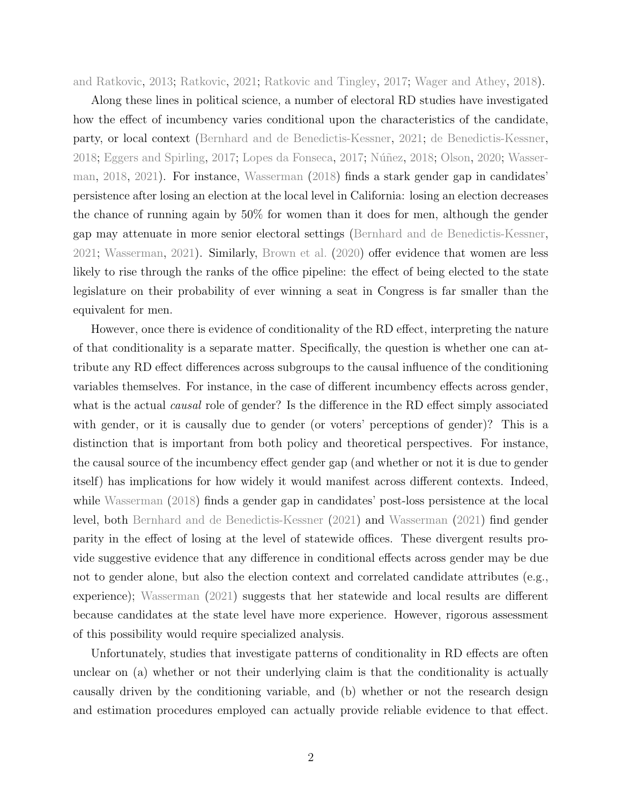[and Ratkovic,](#page-37-2) [2013;](#page-37-2) [Ratkovic,](#page-38-3) [2021;](#page-38-3) [Ratkovic and Tingley,](#page-38-4) [2017;](#page-38-4) [Wager and Athey,](#page-38-5) [2018\)](#page-38-5).

Along these lines in political science, a number of electoral RD studies have investigated how the effect of incumbency varies conditional upon the characteristics of the candidate, party, or local context [\(Bernhard and de Benedictis-Kessner,](#page-34-4) [2021;](#page-34-4) [de Benedictis-Kessner,](#page-35-5) [2018;](#page-38-6) [Eggers and Spirling,](#page-36-6) [2017;](#page-37-3) [Lopes da Fonseca,](#page-37-3) 2017; Núñez, 2018; [Olson,](#page-38-7) [2020;](#page-38-7) [Wasser](#page-39-1)[man,](#page-39-1) [2018,](#page-39-1) [2021\)](#page-39-2). For instance, [Wasserman](#page-39-1) [\(2018\)](#page-39-1) finds a stark gender gap in candidates' persistence after losing an election at the local level in California: losing an election decreases the chance of running again by 50% for women than it does for men, although the gender gap may attenuate in more senior electoral settings [\(Bernhard and de Benedictis-Kessner,](#page-34-4) [2021;](#page-34-4) [Wasserman,](#page-39-2) [2021\)](#page-39-2). Similarly, [Brown et al.](#page-34-5) [\(2020\)](#page-34-5) offer evidence that women are less likely to rise through the ranks of the office pipeline: the effect of being elected to the state legislature on their probability of ever winning a seat in Congress is far smaller than the equivalent for men.

However, once there is evidence of conditionality of the RD effect, interpreting the nature of that conditionality is a separate matter. Specifically, the question is whether one can attribute any RD effect differences across subgroups to the causal influence of the conditioning variables themselves. For instance, in the case of different incumbency effects across gender, what is the actual *causal* role of gender? Is the difference in the RD effect simply associated with gender, or it is causally due to gender (or voters' perceptions of gender)? This is a distinction that is important from both policy and theoretical perspectives. For instance, the causal source of the incumbency effect gender gap (and whether or not it is due to gender itself) has implications for how widely it would manifest across different contexts. Indeed, while [Wasserman](#page-39-1) [\(2018\)](#page-39-1) finds a gender gap in candidates' post-loss persistence at the local level, both [Bernhard and de Benedictis-Kessner](#page-34-4) [\(2021\)](#page-34-4) and [Wasserman](#page-39-2) [\(2021\)](#page-39-2) find gender parity in the effect of losing at the level of statewide offices. These divergent results provide suggestive evidence that any difference in conditional effects across gender may be due not to gender alone, but also the election context and correlated candidate attributes (e.g., experience); [Wasserman](#page-39-2) [\(2021\)](#page-39-2) suggests that her statewide and local results are different because candidates at the state level have more experience. However, rigorous assessment of this possibility would require specialized analysis.

Unfortunately, studies that investigate patterns of conditionality in RD effects are often unclear on (a) whether or not their underlying claim is that the conditionality is actually causally driven by the conditioning variable, and (b) whether or not the research design and estimation procedures employed can actually provide reliable evidence to that effect.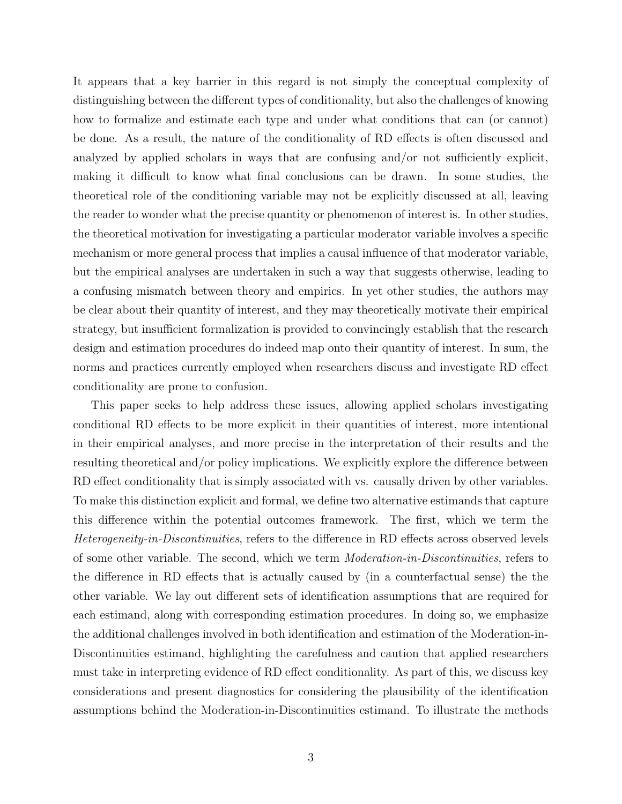It appears that a key barrier in this regard is not simply the conceptual complexity of distinguishing between the different types of conditionality, but also the challenges of knowing how to formalize and estimate each type and under what conditions that can (or cannot) be done. As a result, the nature of the conditionality of RD effects is often discussed and analyzed by applied scholars in ways that are confusing and/or not sufficiently explicit, making it difficult to know what final conclusions can be drawn. In some studies, the theoretical role of the conditioning variable may not be explicitly discussed at all, leaving the reader to wonder what the precise quantity or phenomenon of interest is. In other studies, the theoretical motivation for investigating a particular moderator variable involves a specific mechanism or more general process that implies a causal influence of that moderator variable, but the empirical analyses are undertaken in such a way that suggests otherwise, leading to a confusing mismatch between theory and empirics. In yet other studies, the authors may be clear about their quantity of interest, and they may theoretically motivate their empirical strategy, but insufficient formalization is provided to convincingly establish that the research design and estimation procedures do indeed map onto their quantity of interest. In sum, the norms and practices currently employed when researchers discuss and investigate RD effect conditionality are prone to confusion.

This paper seeks to help address these issues, allowing applied scholars investigating conditional RD effects to be more explicit in their quantities of interest, more intentional in their empirical analyses, and more precise in the interpretation of their results and the resulting theoretical and/or policy implications. We explicitly explore the difference between RD effect conditionality that is simply associated with vs. causally driven by other variables. To make this distinction explicit and formal, we define two alternative estimands that capture this difference within the potential outcomes framework. The first, which we term the Heterogeneity-in-Discontinuities, refers to the difference in RD effects across observed levels of some other variable. The second, which we term Moderation-in-Discontinuities, refers to the difference in RD effects that is actually caused by (in a counterfactual sense) the the other variable. We lay out different sets of identification assumptions that are required for each estimand, along with corresponding estimation procedures. In doing so, we emphasize the additional challenges involved in both identification and estimation of the Moderation-in-Discontinuities estimand, highlighting the carefulness and caution that applied researchers must take in interpreting evidence of RD effect conditionality. As part of this, we discuss key considerations and present diagnostics for considering the plausibility of the identification assumptions behind the Moderation-in-Discontinuities estimand. To illustrate the methods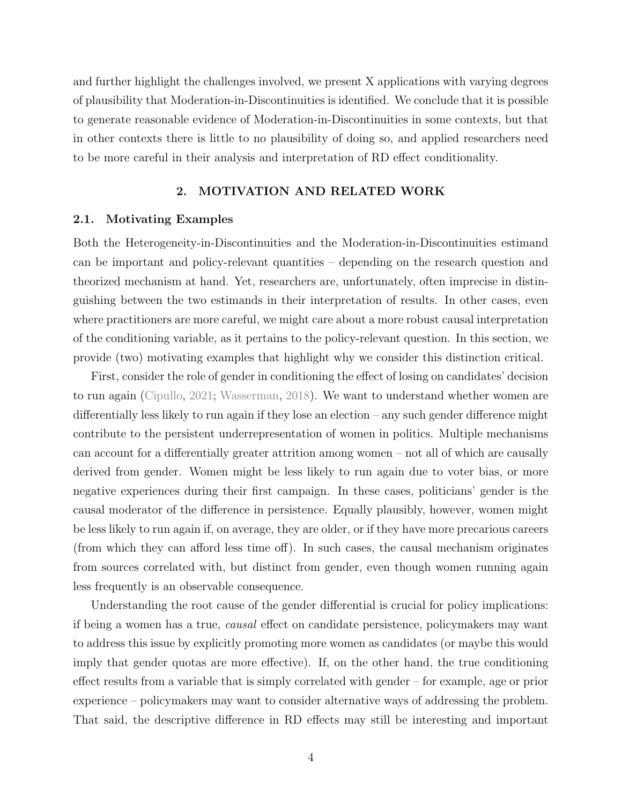and further highlight the challenges involved, we present X applications with varying degrees of plausibility that Moderation-in-Discontinuities is identified. We conclude that it is possible to generate reasonable evidence of Moderation-in-Discontinuities in some contexts, but that in other contexts there is little to no plausibility of doing so, and applied researchers need to be more careful in their analysis and interpretation of RD effect conditionality.

# 2. MOTIVATION AND RELATED WORK

#### <span id="page-4-0"></span>2.1. Motivating Examples

Both the Heterogeneity-in-Discontinuities and the Moderation-in-Discontinuities estimand can be important and policy-relevant quantities – depending on the research question and theorized mechanism at hand. Yet, researchers are, unfortunately, often imprecise in distinguishing between the two estimands in their interpretation of results. In other cases, even where practitioners are more careful, we might care about a more robust causal interpretation of the conditioning variable, as it pertains to the policy-relevant question. In this section, we provide (two) motivating examples that highlight why we consider this distinction critical.

First, consider the role of gender in conditioning the effect of losing on candidates' decision to run again [\(Cipullo,](#page-35-6) [2021;](#page-35-6) [Wasserman,](#page-39-1) [2018\)](#page-39-1). We want to understand whether women are differentially less likely to run again if they lose an election – any such gender difference might contribute to the persistent underrepresentation of women in politics. Multiple mechanisms can account for a differentially greater attrition among women – not all of which are causally derived from gender. Women might be less likely to run again due to voter bias, or more negative experiences during their first campaign. In these cases, politicians' gender is the causal moderator of the difference in persistence. Equally plausibly, however, women might be less likely to run again if, on average, they are older, or if they have more precarious careers (from which they can afford less time off). In such cases, the causal mechanism originates from sources correlated with, but distinct from gender, even though women running again less frequently is an observable consequence.

Understanding the root cause of the gender differential is crucial for policy implications: if being a women has a true, causal effect on candidate persistence, policymakers may want to address this issue by explicitly promoting more women as candidates (or maybe this would imply that gender quotas are more effective). If, on the other hand, the true conditioning effect results from a variable that is simply correlated with gender – for example, age or prior experience – policymakers may want to consider alternative ways of addressing the problem. That said, the descriptive difference in RD effects may still be interesting and important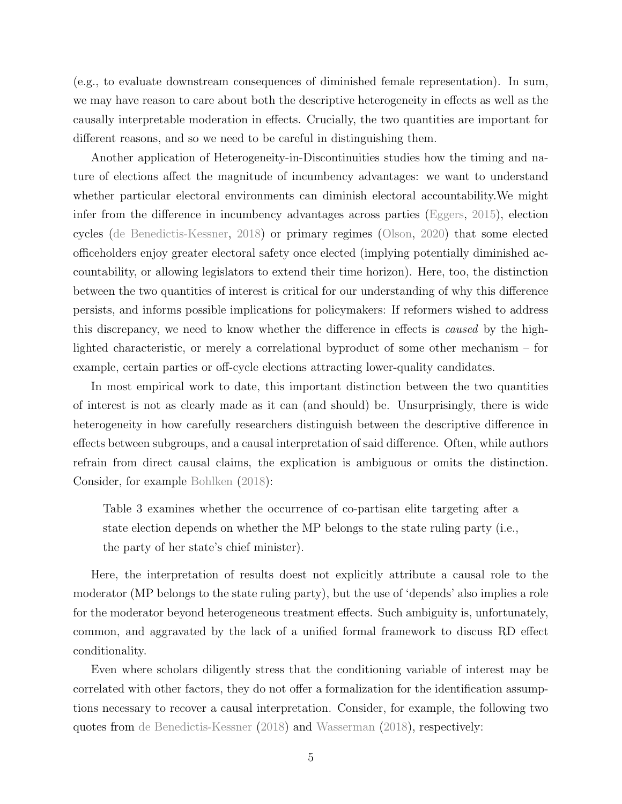(e.g., to evaluate downstream consequences of diminished female representation). In sum, we may have reason to care about both the descriptive heterogeneity in effects as well as the causally interpretable moderation in effects. Crucially, the two quantities are important for different reasons, and so we need to be careful in distinguishing them.

Another application of Heterogeneity-in-Discontinuities studies how the timing and nature of elections affect the magnitude of incumbency advantages: we want to understand whether particular electoral environments can diminish electoral accountability.We might infer from the difference in incumbency advantages across parties [\(Eggers,](#page-36-1) [2015\)](#page-36-1), election cycles [\(de Benedictis-Kessner,](#page-35-5) [2018\)](#page-35-5) or primary regimes [\(Olson,](#page-38-7) [2020\)](#page-38-7) that some elected officeholders enjoy greater electoral safety once elected (implying potentially diminished accountability, or allowing legislators to extend their time horizon). Here, too, the distinction between the two quantities of interest is critical for our understanding of why this difference persists, and informs possible implications for policymakers: If reformers wished to address this discrepancy, we need to know whether the difference in effects is caused by the highlighted characteristic, or merely a correlational byproduct of some other mechanism – for example, certain parties or off-cycle elections attracting lower-quality candidates.

In most empirical work to date, this important distinction between the two quantities of interest is not as clearly made as it can (and should) be. Unsurprisingly, there is wide heterogeneity in how carefully researchers distinguish between the descriptive difference in effects between subgroups, and a causal interpretation of said difference. Often, while authors refrain from direct causal claims, the explication is ambiguous or omits the distinction. Consider, for example [Bohlken](#page-34-6) [\(2018\)](#page-34-6):

Table 3 examines whether the occurrence of co-partisan elite targeting after a state election depends on whether the MP belongs to the state ruling party (i.e., the party of her state's chief minister).

Here, the interpretation of results doest not explicitly attribute a causal role to the moderator (MP belongs to the state ruling party), but the use of 'depends' also implies a role for the moderator beyond heterogeneous treatment effects. Such ambiguity is, unfortunately, common, and aggravated by the lack of a unified formal framework to discuss RD effect conditionality.

Even where scholars diligently stress that the conditioning variable of interest may be correlated with other factors, they do not offer a formalization for the identification assumptions necessary to recover a causal interpretation. Consider, for example, the following two quotes from [de Benedictis-Kessner](#page-35-5) [\(2018\)](#page-35-5) and [Wasserman](#page-39-1) [\(2018\)](#page-39-1), respectively: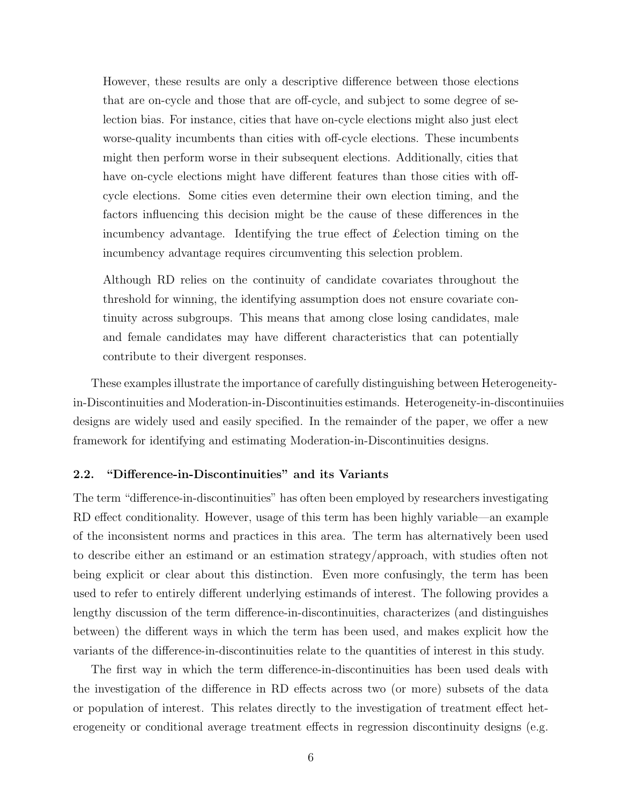However, these results are only a descriptive difference between those elections that are on-cycle and those that are off-cycle, and subject to some degree of selection bias. For instance, cities that have on-cycle elections might also just elect worse-quality incumbents than cities with off-cycle elections. These incumbents might then perform worse in their subsequent elections. Additionally, cities that have on-cycle elections might have different features than those cities with offcycle elections. Some cities even determine their own election timing, and the factors influencing this decision might be the cause of these differences in the incumbency advantage. Identifying the true effect of £election timing on the incumbency advantage requires circumventing this selection problem.

Although RD relies on the continuity of candidate covariates throughout the threshold for winning, the identifying assumption does not ensure covariate continuity across subgroups. This means that among close losing candidates, male and female candidates may have different characteristics that can potentially contribute to their divergent responses.

These examples illustrate the importance of carefully distinguishing between Heterogeneityin-Discontinuities and Moderation-in-Discontinuities estimands. Heterogeneity-in-discontinuiies designs are widely used and easily specified. In the remainder of the paper, we offer a new framework for identifying and estimating Moderation-in-Discontinuities designs.

# 2.2. "Difference-in-Discontinuities" and its Variants

The term "difference-in-discontinuities" has often been employed by researchers investigating RD effect conditionality. However, usage of this term has been highly variable—an example of the inconsistent norms and practices in this area. The term has alternatively been used to describe either an estimand or an estimation strategy/approach, with studies often not being explicit or clear about this distinction. Even more confusingly, the term has been used to refer to entirely different underlying estimands of interest. The following provides a lengthy discussion of the term difference-in-discontinuities, characterizes (and distinguishes between) the different ways in which the term has been used, and makes explicit how the variants of the difference-in-discontinuities relate to the quantities of interest in this study.

The first way in which the term difference-in-discontinuities has been used deals with the investigation of the difference in RD effects across two (or more) subsets of the data or population of interest. This relates directly to the investigation of treatment effect heterogeneity or conditional average treatment effects in regression discontinuity designs (e.g.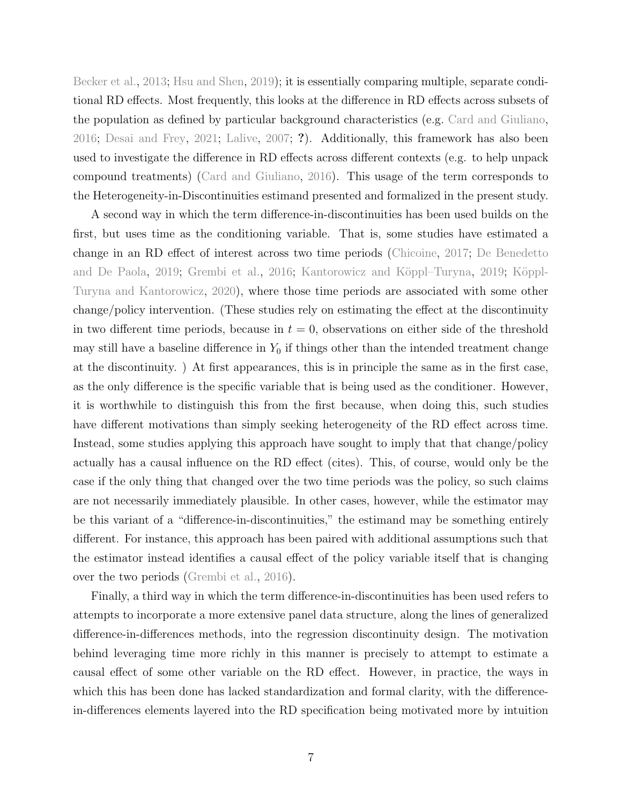[Becker et al.,](#page-34-7) [2013;](#page-34-7) [Hsu and Shen,](#page-37-4) [2019\)](#page-37-4); it is essentially comparing multiple, separate conditional RD effects. Most frequently, this looks at the difference in RD effects across subsets of the population as defined by particular background characteristics (e.g. [Card and Giuliano,](#page-35-4) [2016;](#page-35-4) [Desai and Frey,](#page-35-7) [2021;](#page-35-7) [Lalive,](#page-37-5) [2007;](#page-37-5) ?). Additionally, this framework has also been used to investigate the difference in RD effects across different contexts (e.g. to help unpack compound treatments) [\(Card and Giuliano,](#page-35-4) [2016\)](#page-35-4). This usage of the term corresponds to the Heterogeneity-in-Discontinuities estimand presented and formalized in the present study.

A second way in which the term difference-in-discontinuities has been used builds on the first, but uses time as the conditioning variable. That is, some studies have estimated a change in an RD effect of interest across two time periods [\(Chicoine,](#page-35-8) [2017;](#page-35-8) [De Benedetto](#page-35-9) [and De Paola,](#page-35-9) [2019;](#page-37-6) [Grembi et al.,](#page-36-7) [2016;](#page-36-7) Kantorowicz and Köppl–Turyna, 2019; Köppl-[Turyna and Kantorowicz,](#page-37-7) [2020\)](#page-37-7), where those time periods are associated with some other change/policy intervention. (These studies rely on estimating the effect at the discontinuity in two different time periods, because in  $t = 0$ , observations on either side of the threshold may still have a baseline difference in  $Y_0$  if things other than the intended treatment change at the discontinuity. ) At first appearances, this is in principle the same as in the first case, as the only difference is the specific variable that is being used as the conditioner. However, it is worthwhile to distinguish this from the first because, when doing this, such studies have different motivations than simply seeking heterogeneity of the RD effect across time. Instead, some studies applying this approach have sought to imply that that change/policy actually has a causal influence on the RD effect (cites). This, of course, would only be the case if the only thing that changed over the two time periods was the policy, so such claims are not necessarily immediately plausible. In other cases, however, while the estimator may be this variant of a "difference-in-discontinuities," the estimand may be something entirely different. For instance, this approach has been paired with additional assumptions such that the estimator instead identifies a causal effect of the policy variable itself that is changing over the two periods [\(Grembi et al.,](#page-36-7) [2016\)](#page-36-7).

Finally, a third way in which the term difference-in-discontinuities has been used refers to attempts to incorporate a more extensive panel data structure, along the lines of generalized difference-in-differences methods, into the regression discontinuity design. The motivation behind leveraging time more richly in this manner is precisely to attempt to estimate a causal effect of some other variable on the RD effect. However, in practice, the ways in which this has been done has lacked standardization and formal clarity, with the differencein-differences elements layered into the RD specification being motivated more by intuition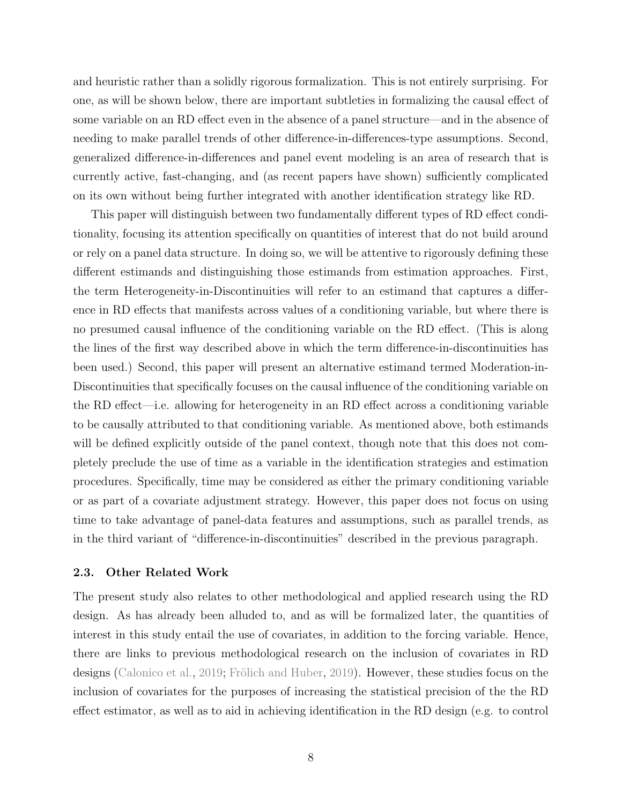and heuristic rather than a solidly rigorous formalization. This is not entirely surprising. For one, as will be shown below, there are important subtleties in formalizing the causal effect of some variable on an RD effect even in the absence of a panel structure—and in the absence of needing to make parallel trends of other difference-in-differences-type assumptions. Second, generalized difference-in-differences and panel event modeling is an area of research that is currently active, fast-changing, and (as recent papers have shown) sufficiently complicated on its own without being further integrated with another identification strategy like RD.

This paper will distinguish between two fundamentally different types of RD effect conditionality, focusing its attention specifically on quantities of interest that do not build around or rely on a panel data structure. In doing so, we will be attentive to rigorously defining these different estimands and distinguishing those estimands from estimation approaches. First, the term Heterogeneity-in-Discontinuities will refer to an estimand that captures a difference in RD effects that manifests across values of a conditioning variable, but where there is no presumed causal influence of the conditioning variable on the RD effect. (This is along the lines of the first way described above in which the term difference-in-discontinuities has been used.) Second, this paper will present an alternative estimand termed Moderation-in-Discontinuities that specifically focuses on the causal influence of the conditioning variable on the RD effect—i.e. allowing for heterogeneity in an RD effect across a conditioning variable to be causally attributed to that conditioning variable. As mentioned above, both estimands will be defined explicitly outside of the panel context, though note that this does not completely preclude the use of time as a variable in the identification strategies and estimation procedures. Specifically, time may be considered as either the primary conditioning variable or as part of a covariate adjustment strategy. However, this paper does not focus on using time to take advantage of panel-data features and assumptions, such as parallel trends, as in the third variant of "difference-in-discontinuities" described in the previous paragraph.

# 2.3. Other Related Work

The present study also relates to other methodological and applied research using the RD design. As has already been alluded to, and as will be formalized later, the quantities of interest in this study entail the use of covariates, in addition to the forcing variable. Hence, there are links to previous methodological research on the inclusion of covariates in RD designs [\(Calonico et al.,](#page-34-8) [2019;](#page-34-8) Frölich and Huber, [2019\)](#page-36-8). However, these studies focus on the inclusion of covariates for the purposes of increasing the statistical precision of the the RD effect estimator, as well as to aid in achieving identification in the RD design (e.g. to control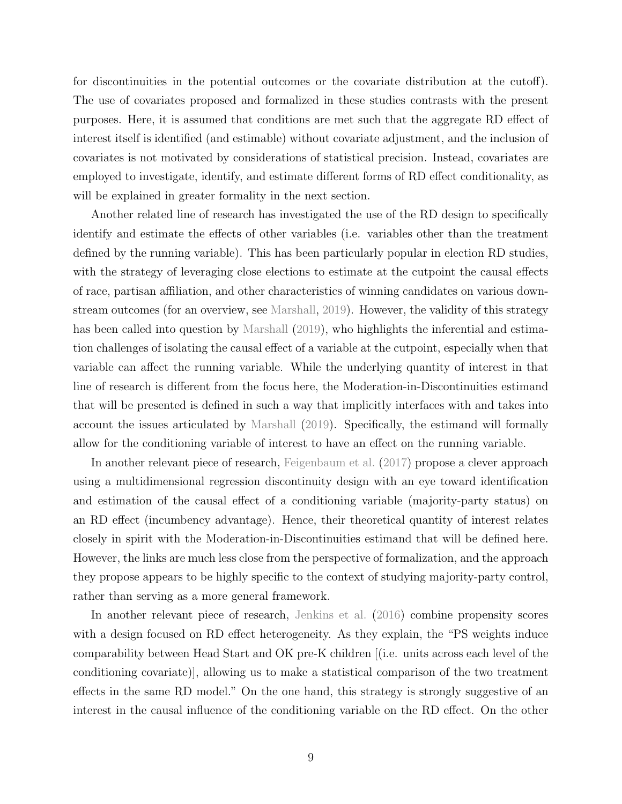for discontinuities in the potential outcomes or the covariate distribution at the cutoff). The use of covariates proposed and formalized in these studies contrasts with the present purposes. Here, it is assumed that conditions are met such that the aggregate RD effect of interest itself is identified (and estimable) without covariate adjustment, and the inclusion of covariates is not motivated by considerations of statistical precision. Instead, covariates are employed to investigate, identify, and estimate different forms of RD effect conditionality, as will be explained in greater formality in the next section.

Another related line of research has investigated the use of the RD design to specifically identify and estimate the effects of other variables (i.e. variables other than the treatment defined by the running variable). This has been particularly popular in election RD studies, with the strategy of leveraging close elections to estimate at the cutpoint the causal effects of race, partisan affiliation, and other characteristics of winning candidates on various downstream outcomes (for an overview, see [Marshall,](#page-37-8) [2019\)](#page-37-8). However, the validity of this strategy has been called into question by [Marshall](#page-37-8) [\(2019\)](#page-37-8), who highlights the inferential and estimation challenges of isolating the causal effect of a variable at the cutpoint, especially when that variable can affect the running variable. While the underlying quantity of interest in that line of research is different from the focus here, the Moderation-in-Discontinuities estimand that will be presented is defined in such a way that implicitly interfaces with and takes into account the issues articulated by [Marshall](#page-37-8) [\(2019\)](#page-37-8). Specifically, the estimand will formally allow for the conditioning variable of interest to have an effect on the running variable.

In another relevant piece of research, [Feigenbaum et al.](#page-36-9) [\(2017\)](#page-36-9) propose a clever approach using a multidimensional regression discontinuity design with an eye toward identification and estimation of the causal effect of a conditioning variable (majority-party status) on an RD effect (incumbency advantage). Hence, their theoretical quantity of interest relates closely in spirit with the Moderation-in-Discontinuities estimand that will be defined here. However, the links are much less close from the perspective of formalization, and the approach they propose appears to be highly specific to the context of studying majority-party control, rather than serving as a more general framework.

In another relevant piece of research, [Jenkins et al.](#page-37-1) [\(2016\)](#page-37-1) combine propensity scores with a design focused on RD effect heterogeneity. As they explain, the "PS weights induce comparability between Head Start and OK pre-K children [(i.e. units across each level of the conditioning covariate)], allowing us to make a statistical comparison of the two treatment effects in the same RD model." On the one hand, this strategy is strongly suggestive of an interest in the causal influence of the conditioning variable on the RD effect. On the other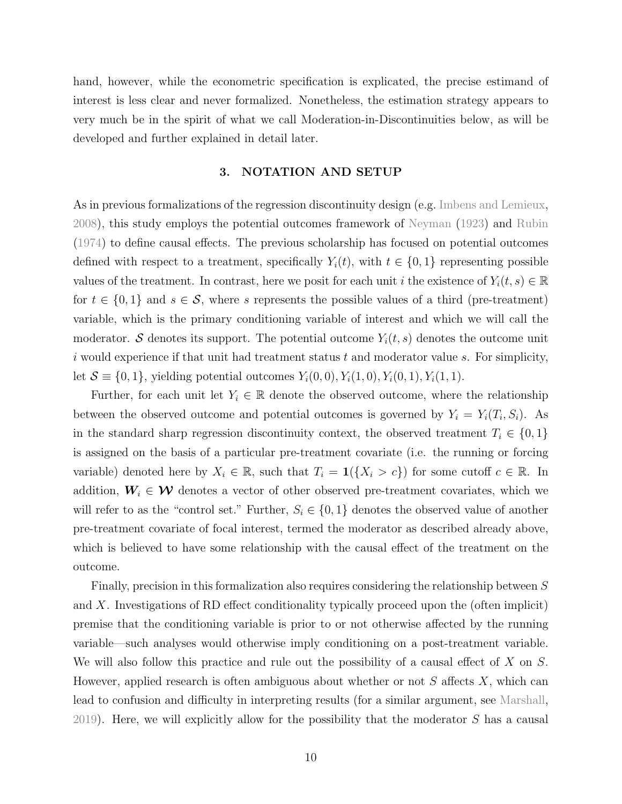hand, however, while the econometric specification is explicated, the precise estimand of interest is less clear and never formalized. Nonetheless, the estimation strategy appears to very much be in the spirit of what we call Moderation-in-Discontinuities below, as will be developed and further explained in detail later.

## 3. NOTATION AND SETUP

As in previous formalizations of the regression discontinuity design (e.g. [Imbens and Lemieux,](#page-37-9) [2008\)](#page-37-9), this study employs the potential outcomes framework of [Neyman](#page-38-8) [\(1923\)](#page-38-8) and [Rubin](#page-38-9) [\(1974\)](#page-38-9) to define causal effects. The previous scholarship has focused on potential outcomes defined with respect to a treatment, specifically  $Y_i(t)$ , with  $t \in \{0,1\}$  representing possible values of the treatment. In contrast, here we posit for each unit i the existence of  $Y_i(t, s) \in \mathbb{R}$ for  $t \in \{0,1\}$  and  $s \in \mathcal{S}$ , where s represents the possible values of a third (pre-treatment) variable, which is the primary conditioning variable of interest and which we will call the moderator. S denotes its support. The potential outcome  $Y_i(t, s)$  denotes the outcome unit i would experience if that unit had treatment status  $t$  and moderator value  $s$ . For simplicity, let  $S = \{0, 1\}$ , yielding potential outcomes  $Y_i(0, 0), Y_i(1, 0), Y_i(0, 1), Y_i(1, 1)$ .

Further, for each unit let  $Y_i \in \mathbb{R}$  denote the observed outcome, where the relationship between the observed outcome and potential outcomes is governed by  $Y_i = Y_i(T_i, S_i)$ . As in the standard sharp regression discontinuity context, the observed treatment  $T_i \in \{0,1\}$ is assigned on the basis of a particular pre-treatment covariate (i.e. the running or forcing variable) denoted here by  $X_i \in \mathbb{R}$ , such that  $T_i = \mathbf{1}(\{X_i > c\})$  for some cutoff  $c \in \mathbb{R}$ . In addition,  $W_i \in \mathcal{W}$  denotes a vector of other observed pre-treatment covariates, which we will refer to as the "control set." Further,  $S_i \in \{0,1\}$  denotes the observed value of another pre-treatment covariate of focal interest, termed the moderator as described already above, which is believed to have some relationship with the causal effect of the treatment on the outcome.

Finally, precision in this formalization also requires considering the relationship between S and X. Investigations of RD effect conditionality typically proceed upon the (often implicit) premise that the conditioning variable is prior to or not otherwise affected by the running variable—such analyses would otherwise imply conditioning on a post-treatment variable. We will also follow this practice and rule out the possibility of a causal effect of X on S. However, applied research is often ambiguous about whether or not  $S$  affects  $X$ , which can lead to confusion and difficulty in interpreting results (for a similar argument, see [Marshall,](#page-37-8) [2019\)](#page-37-8). Here, we will explicitly allow for the possibility that the moderator S has a causal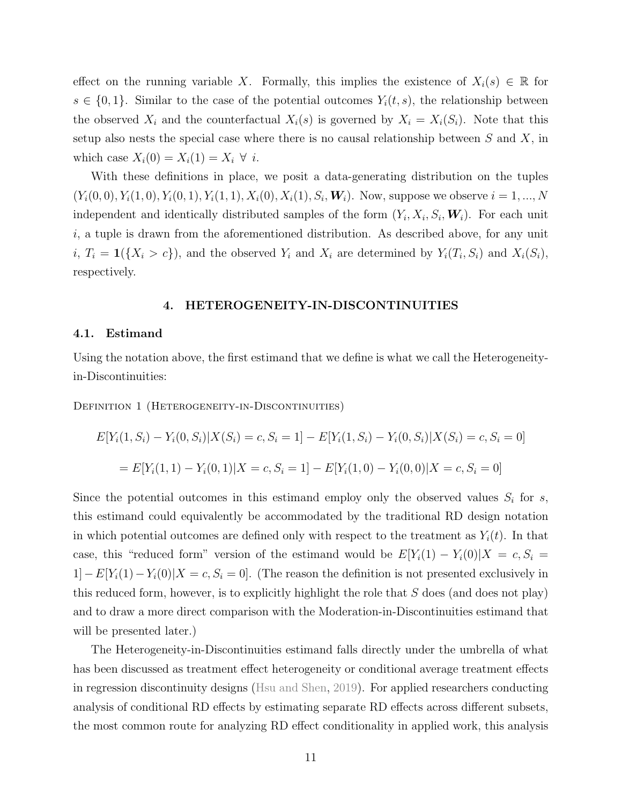effect on the running variable X. Formally, this implies the existence of  $X_i(s) \in \mathbb{R}$  for  $s \in \{0,1\}$ . Similar to the case of the potential outcomes  $Y_i(t, s)$ , the relationship between the observed  $X_i$  and the counterfactual  $X_i(s)$  is governed by  $X_i = X_i(S_i)$ . Note that this setup also nests the special case where there is no causal relationship between  $S$  and  $X$ , in which case  $X_i(0) = X_i(1) = X_i \ \forall \ i$ .

With these definitions in place, we posit a data-generating distribution on the tuples  $(Y_i(0,0), Y_i(1,0), Y_i(0,1), Y_i(1,1), X_i(0), X_i(1), S_i, W_i)$ . Now, suppose we observe  $i = 1, ..., N$ independent and identically distributed samples of the form  $(Y_i, X_i, S_i, W_i)$ . For each unit  $i$ , a tuple is drawn from the aforementioned distribution. As described above, for any unit  $i, T_i = \mathbf{1}(\{X_i > c\})$ , and the observed  $Y_i$  and  $X_i$  are determined by  $Y_i(T_i, S_i)$  and  $X_i(S_i)$ , respectively.

#### 4. HETEROGENEITY-IN-DISCONTINUITIES

#### 4.1. Estimand

Using the notation above, the first estimand that we define is what we call the Heterogeneityin-Discontinuities:

DEFINITION 1 (HETEROGENEITY-IN-DISCONTINUITIES)

$$
E[Y_i(1, S_i) - Y_i(0, S_i)|X(S_i) = c, S_i = 1] - E[Y_i(1, S_i) - Y_i(0, S_i)|X(S_i) = c, S_i = 0]
$$
  
= 
$$
E[Y_i(1, 1) - Y_i(0, 1)|X = c, S_i = 1] - E[Y_i(1, 0) - Y_i(0, 0)|X = c, S_i = 0]
$$

Since the potential outcomes in this estimand employ only the observed values  $S_i$  for s, this estimand could equivalently be accommodated by the traditional RD design notation in which potential outcomes are defined only with respect to the treatment as  $Y_i(t)$ . In that case, this "reduced form" version of the estimand would be  $E[Y_i(1) - Y_i(0)|X = c, S_i =$  $1]-E[Y_i(1)-Y_i(0)|X=c, S_i=0]$ . (The reason the definition is not presented exclusively in this reduced form, however, is to explicitly highlight the role that S does (and does not play) and to draw a more direct comparison with the Moderation-in-Discontinuities estimand that will be presented later.)

The Heterogeneity-in-Discontinuities estimand falls directly under the umbrella of what has been discussed as treatment effect heterogeneity or conditional average treatment effects in regression discontinuity designs [\(Hsu and Shen,](#page-37-4) [2019\)](#page-37-4). For applied researchers conducting analysis of conditional RD effects by estimating separate RD effects across different subsets, the most common route for analyzing RD effect conditionality in applied work, this analysis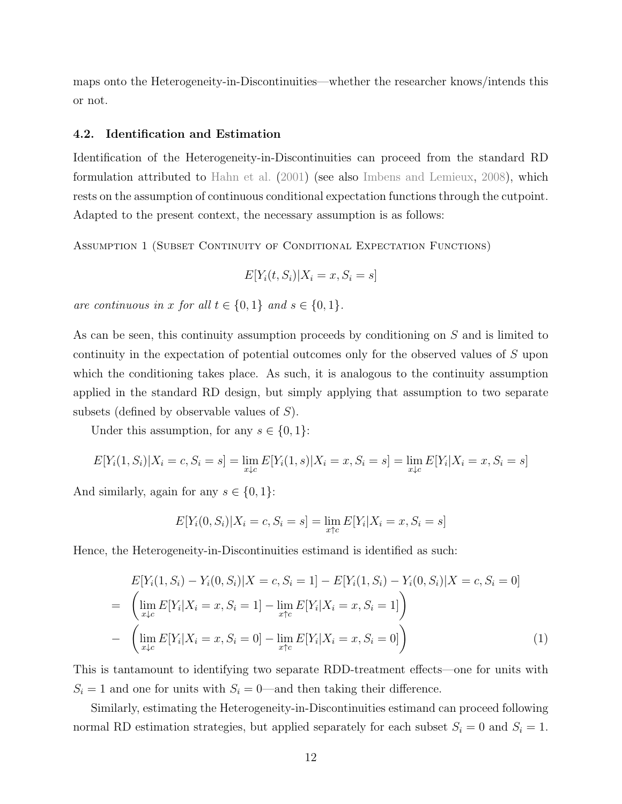maps onto the Heterogeneity-in-Discontinuities—whether the researcher knows/intends this or not.

## 4.2. Identification and Estimation

Identification of the Heterogeneity-in-Discontinuities can proceed from the standard RD formulation attributed to [Hahn et al.](#page-36-10) [\(2001\)](#page-36-10) (see also [Imbens and Lemieux,](#page-37-9) [2008\)](#page-37-9), which rests on the assumption of continuous conditional expectation functions through the cutpoint. Adapted to the present context, the necessary assumption is as follows:

<span id="page-12-0"></span>Assumption 1 (Subset Continuity of Conditional Expectation Functions)

$$
E[Y_i(t, S_i)|X_i = x, S_i = s]
$$

are continuous in x for all  $t \in \{0,1\}$  and  $s \in \{0,1\}$ .

As can be seen, this continuity assumption proceeds by conditioning on S and is limited to continuity in the expectation of potential outcomes only for the observed values of S upon which the conditioning takes place. As such, it is analogous to the continuity assumption applied in the standard RD design, but simply applying that assumption to two separate subsets (defined by observable values of S).

Under this assumption, for any  $s \in \{0, 1\}$ :

$$
E[Y_i(1, S_i)|X_i = c, S_i = s] = \lim_{x \downarrow c} E[Y_i(1, s)|X_i = x, S_i = s] = \lim_{x \downarrow c} E[Y_i|X_i = x, S_i = s]
$$

And similarly, again for any  $s \in \{0, 1\}$ :

$$
E[Y_i(0, S_i)|X_i = c, S_i = s] = \lim_{x \uparrow c} E[Y_i|X_i = x, S_i = s]
$$

Hence, the Heterogeneity-in-Discontinuities estimand is identified as such:

<span id="page-12-1"></span>
$$
E[Y_i(1, S_i) - Y_i(0, S_i)|X = c, S_i = 1] - E[Y_i(1, S_i) - Y_i(0, S_i)|X = c, S_i = 0]
$$
  
= 
$$
\left(\lim_{x \downarrow c} E[Y_i|X_i = x, S_i = 1] - \lim_{x \uparrow c} E[Y_i|X_i = x, S_i = 1]\right)
$$
  
- 
$$
\left(\lim_{x \downarrow c} E[Y_i|X_i = x, S_i = 0] - \lim_{x \uparrow c} E[Y_i|X_i = x, S_i = 0]\right)
$$
 (1)

This is tantamount to identifying two separate RDD-treatment effects—one for units with  $S_i = 1$  and one for units with  $S_i = 0$ —and then taking their difference.

Similarly, estimating the Heterogeneity-in-Discontinuities estimand can proceed following normal RD estimation strategies, but applied separately for each subset  $S_i = 0$  and  $S_i = 1$ .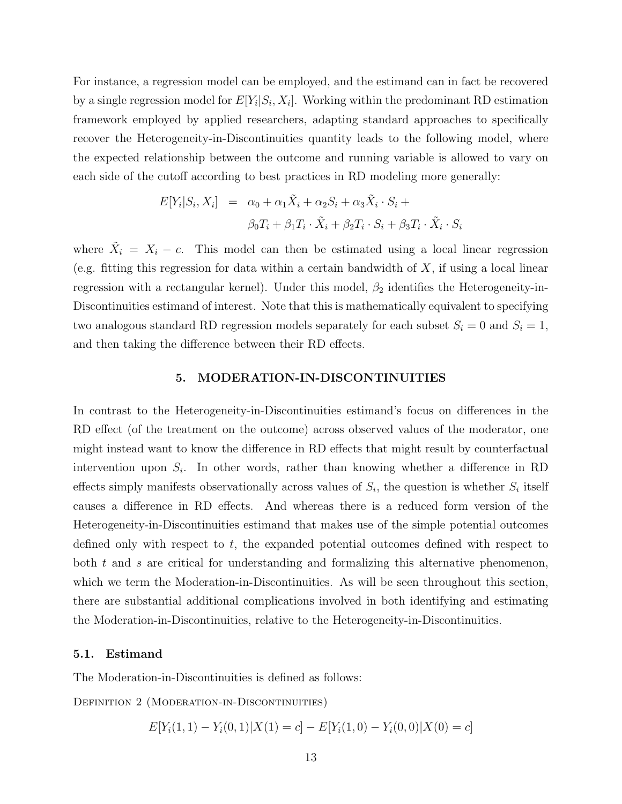For instance, a regression model can be employed, and the estimand can in fact be recovered by a single regression model for  $E[Y_i|S_i, X_i]$ . Working within the predominant RD estimation framework employed by applied researchers, adapting standard approaches to specifically recover the Heterogeneity-in-Discontinuities quantity leads to the following model, where the expected relationship between the outcome and running variable is allowed to vary on each side of the cutoff according to best practices in RD modeling more generally:

$$
E[Y_i|S_i, X_i] = \alpha_0 + \alpha_1 \tilde{X}_i + \alpha_2 S_i + \alpha_3 \tilde{X}_i \cdot S_i +
$$
  

$$
\beta_0 T_i + \beta_1 T_i \cdot \tilde{X}_i + \beta_2 T_i \cdot S_i + \beta_3 T_i \cdot \tilde{X}_i \cdot S_i
$$

where  $\tilde{X}_i = X_i - c$ . This model can then be estimated using a local linear regression (e.g. fitting this regression for data within a certain bandwidth of  $X$ , if using a local linear regression with a rectangular kernel). Under this model,  $\beta_2$  identifies the Heterogeneity-in-Discontinuities estimand of interest. Note that this is mathematically equivalent to specifying two analogous standard RD regression models separately for each subset  $S_i = 0$  and  $S_i = 1$ , and then taking the difference between their RD effects.

#### 5. MODERATION-IN-DISCONTINUITIES

In contrast to the Heterogeneity-in-Discontinuities estimand's focus on differences in the RD effect (of the treatment on the outcome) across observed values of the moderator, one might instead want to know the difference in RD effects that might result by counterfactual intervention upon  $S_i$ . In other words, rather than knowing whether a difference in RD effects simply manifests observationally across values of  $S_i$ , the question is whether  $S_i$  itself causes a difference in RD effects. And whereas there is a reduced form version of the Heterogeneity-in-Discontinuities estimand that makes use of the simple potential outcomes defined only with respect to  $t$ , the expanded potential outcomes defined with respect to both  $t$  and  $s$  are critical for understanding and formalizing this alternative phenomenon, which we term the Moderation-in-Discontinuities. As will be seen throughout this section, there are substantial additional complications involved in both identifying and estimating the Moderation-in-Discontinuities, relative to the Heterogeneity-in-Discontinuities.

#### 5.1. Estimand

The Moderation-in-Discontinuities is defined as follows:

DEFINITION 2 (MODERATION-IN-DISCONTINUITIES)

$$
E[Y_i(1,1) - Y_i(0,1)|X(1) = c] - E[Y_i(1,0) - Y_i(0,0)|X(0) = c]
$$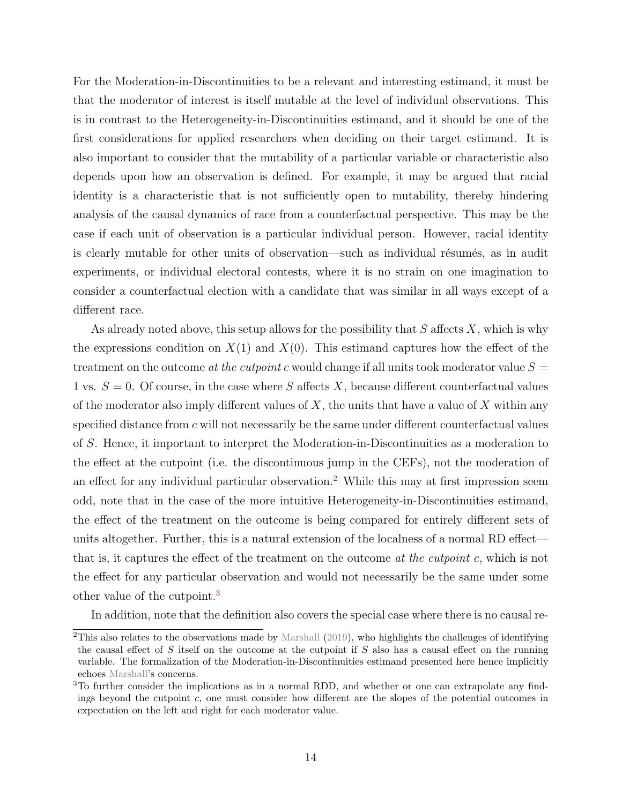For the Moderation-in-Discontinuities to be a relevant and interesting estimand, it must be that the moderator of interest is itself mutable at the level of individual observations. This is in contrast to the Heterogeneity-in-Discontinuities estimand, and it should be one of the first considerations for applied researchers when deciding on their target estimand. It is also important to consider that the mutability of a particular variable or characteristic also depends upon how an observation is defined. For example, it may be argued that racial identity is a characteristic that is not sufficiently open to mutability, thereby hindering analysis of the causal dynamics of race from a counterfactual perspective. This may be the case if each unit of observation is a particular individual person. However, racial identity is clearly mutable for other units of observation—such as individual résumés, as in audit experiments, or individual electoral contests, where it is no strain on one imagination to consider a counterfactual election with a candidate that was similar in all ways except of a different race.

As already noted above, this setup allows for the possibility that  $S$  affects  $X$ , which is why the expressions condition on  $X(1)$  and  $X(0)$ . This estimand captures how the effect of the treatment on the outcome at the cutpoint c would change if all units took moderator value  $S =$ 1 vs.  $S = 0$ . Of course, in the case where S affects X, because different counterfactual values of the moderator also imply different values of  $X$ , the units that have a value of  $X$  within any specified distance from  $c$  will not necessarily be the same under different counterfactual values of S. Hence, it important to interpret the Moderation-in-Discontinuities as a moderation to the effect at the cutpoint (i.e. the discontinuous jump in the CEFs), not the moderation of an effect for any individual particular observation.<sup>[2](#page-0-0)</sup> While this may at first impression seem odd, note that in the case of the more intuitive Heterogeneity-in-Discontinuities estimand, the effect of the treatment on the outcome is being compared for entirely different sets of units altogether. Further, this is a natural extension of the localness of a normal RD effect that is, it captures the effect of the treatment on the outcome *at the cutpoint c*, which is not the effect for any particular observation and would not necessarily be the same under some other value of the cutpoint.<sup>[3](#page-0-0)</sup>

In addition, note that the definition also covers the special case where there is no causal re-

 ${}^{2}$ This also relates to the observations made by [Marshall](#page-37-8) [\(2019\)](#page-37-8), who highlights the challenges of identifying the causal effect of  $S$  itself on the outcome at the cutpoint if  $S$  also has a causal effect on the running variable. The formalization of the Moderation-in-Discontinuities estimand presented here hence implicitly echoes [Marshall'](#page-37-8)s concerns.

<sup>&</sup>lt;sup>3</sup>To further consider the implications as in a normal RDD, and whether or one can extrapolate any findings beyond the cutpoint c, one must consider how different are the slopes of the potential outcomes in expectation on the left and right for each moderator value.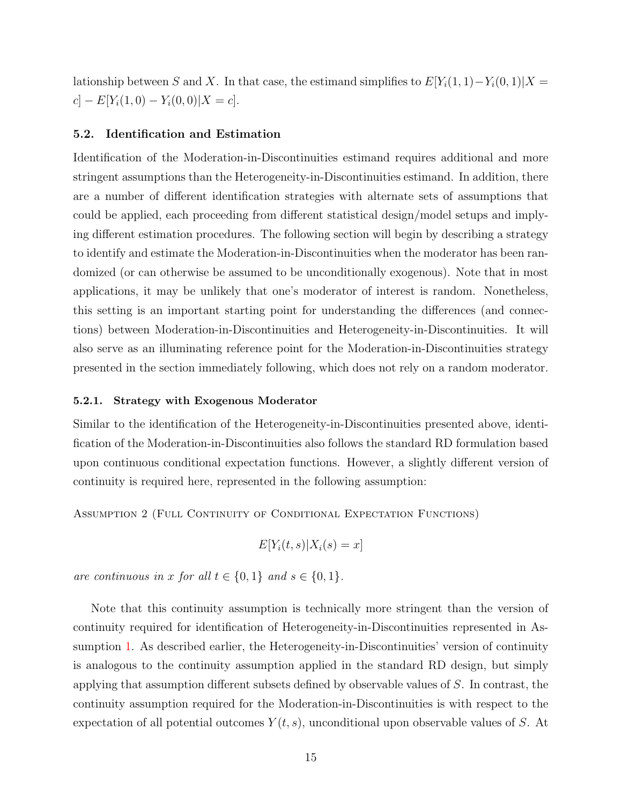lationship between S and X. In that case, the estimand simplifies to  $E[Y_i(1,1)-Y_i(0,1)|X=$  $c] - E[Y_i(1,0) - Y_i(0,0)|X = c].$ 

## 5.2. Identification and Estimation

Identification of the Moderation-in-Discontinuities estimand requires additional and more stringent assumptions than the Heterogeneity-in-Discontinuities estimand. In addition, there are a number of different identification strategies with alternate sets of assumptions that could be applied, each proceeding from different statistical design/model setups and implying different estimation procedures. The following section will begin by describing a strategy to identify and estimate the Moderation-in-Discontinuities when the moderator has been randomized (or can otherwise be assumed to be unconditionally exogenous). Note that in most applications, it may be unlikely that one's moderator of interest is random. Nonetheless, this setting is an important starting point for understanding the differences (and connections) between Moderation-in-Discontinuities and Heterogeneity-in-Discontinuities. It will also serve as an illuminating reference point for the Moderation-in-Discontinuities strategy presented in the section immediately following, which does not rely on a random moderator.

#### 5.2.1. Strategy with Exogenous Moderator

Similar to the identification of the Heterogeneity-in-Discontinuities presented above, identification of the Moderation-in-Discontinuities also follows the standard RD formulation based upon continuous conditional expectation functions. However, a slightly different version of continuity is required here, represented in the following assumption:

<span id="page-15-0"></span>Assumption 2 (Full Continuity of Conditional Expectation Functions)

$$
E[Y_i(t,s)|X_i(s) = x]
$$

are continuous in x for all  $t \in \{0,1\}$  and  $s \in \{0,1\}$ .

Note that this continuity assumption is technically more stringent than the version of continuity required for identification of Heterogeneity-in-Discontinuities represented in As-sumption [1.](#page-12-0) As described earlier, the Heterogeneity-in-Discontinuities' version of continuity is analogous to the continuity assumption applied in the standard RD design, but simply applying that assumption different subsets defined by observable values of S. In contrast, the continuity assumption required for the Moderation-in-Discontinuities is with respect to the expectation of all potential outcomes  $Y(t, s)$ , unconditional upon observable values of S. At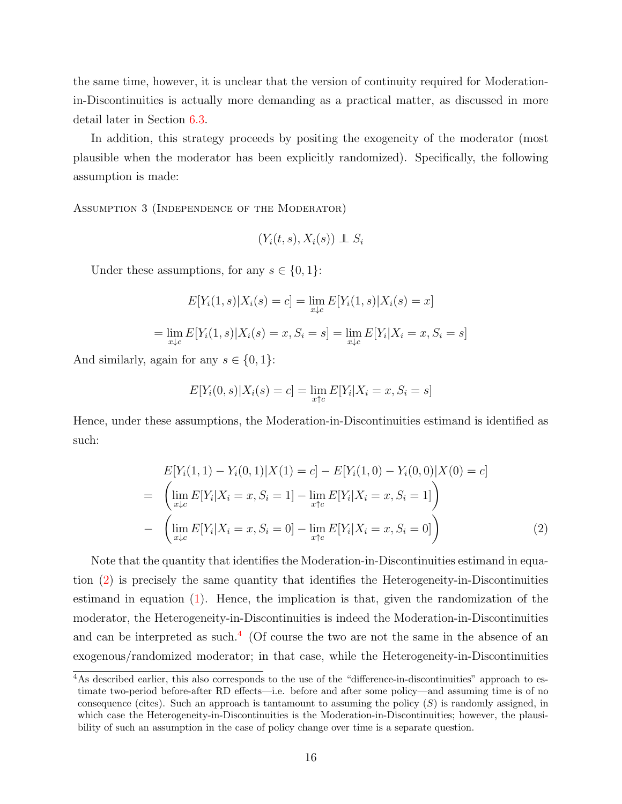the same time, however, it is unclear that the version of continuity required for Moderationin-Discontinuities is actually more demanding as a practical matter, as discussed in more detail later in Section [6.3.](#page-23-0)

In addition, this strategy proceeds by positing the exogeneity of the moderator (most plausible when the moderator has been explicitly randomized). Specifically, the following assumption is made:

Assumption 3 (Independence of the Moderator)

$$
(Y_i(t,s), X_i(s)) \perp S_i
$$

Under these assumptions, for any  $s \in \{0, 1\}$ :

$$
E[Y_i(1, s)|X_i(s) = c] = \lim_{x \downarrow c} E[Y_i(1, s)|X_i(s) = x]
$$

$$
= \lim_{x \downarrow c} E[Y_i(1, s)|X_i(s) = x, S_i = s] = \lim_{x \downarrow c} E[Y_i|X_i = x, S_i = s]
$$

And similarly, again for any  $s \in \{0, 1\}$ :

$$
E[Y_i(0, s)|X_i(s) = c] = \lim_{x \uparrow c} E[Y_i | X_i = x, S_i = s]
$$

Hence, under these assumptions, the Moderation-in-Discontinuities estimand is identified as such:

<span id="page-16-0"></span>
$$
E[Y_i(1,1) - Y_i(0,1)|X(1) = c] - E[Y_i(1,0) - Y_i(0,0)|X(0) = c]
$$
  
= 
$$
\left(\lim_{x \downarrow c} E[Y_i|X_i = x, S_i = 1] - \lim_{x \uparrow c} E[Y_i|X_i = x, S_i = 1]\right)
$$
  
- 
$$
\left(\lim_{x \downarrow c} E[Y_i|X_i = x, S_i = 0] - \lim_{x \uparrow c} E[Y_i|X_i = x, S_i = 0]\right)
$$
 (2)

Note that the quantity that identifies the Moderation-in-Discontinuities estimand in equation [\(2\)](#page-16-0) is precisely the same quantity that identifies the Heterogeneity-in-Discontinuities estimand in equation  $(1)$ . Hence, the implication is that, given the randomization of the moderator, the Heterogeneity-in-Discontinuities is indeed the Moderation-in-Discontinuities and can be interpreted as such.<sup>[4](#page-0-0)</sup> (Of course the two are not the same in the absence of an exogenous/randomized moderator; in that case, while the Heterogeneity-in-Discontinuities

<sup>4</sup>As described earlier, this also corresponds to the use of the "difference-in-discontinuities" approach to estimate two-period before-after RD effects—i.e. before and after some policy—and assuming time is of no consequence (cites). Such an approach is tantamount to assuming the policy  $(S)$  is randomly assigned, in which case the Heterogeneity-in-Discontinuities is the Moderation-in-Discontinuities; however, the plausibility of such an assumption in the case of policy change over time is a separate question.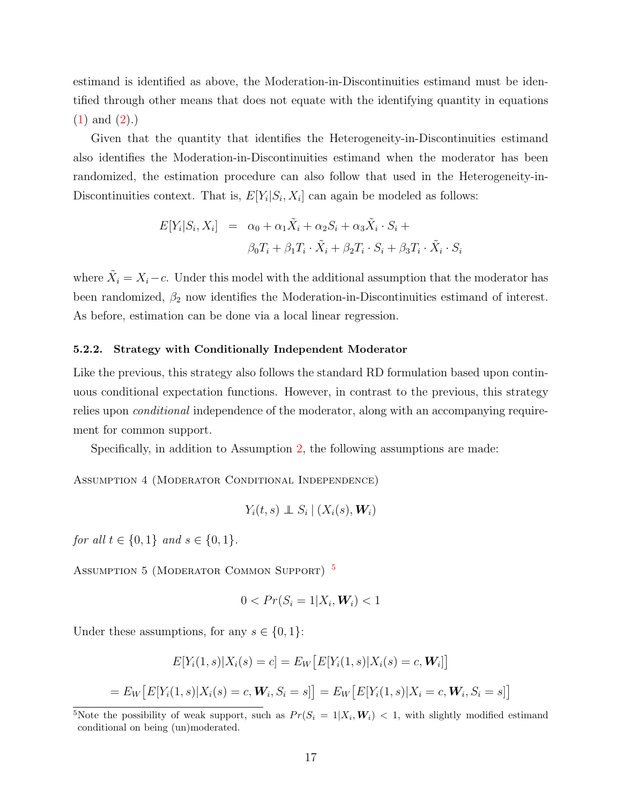estimand is identified as above, the Moderation-in-Discontinuities estimand must be identified through other means that does not equate with the identifying quantity in equations [\(1\)](#page-12-1) and [\(2\)](#page-16-0).)

Given that the quantity that identifies the Heterogeneity-in-Discontinuities estimand also identifies the Moderation-in-Discontinuities estimand when the moderator has been randomized, the estimation procedure can also follow that used in the Heterogeneity-in-Discontinuities context. That is,  $E[Y_i|S_i, X_i]$  can again be modeled as follows:

<span id="page-17-0"></span>
$$
E[Y_i|S_i, X_i] = \alpha_0 + \alpha_1 \tilde{X}_i + \alpha_2 S_i + \alpha_3 \tilde{X}_i \cdot S_i +
$$
  

$$
\beta_0 T_i + \beta_1 T_i \cdot \tilde{X}_i + \beta_2 T_i \cdot S_i + \beta_3 T_i \cdot \tilde{X}_i \cdot S_i
$$

where  $\tilde{X}_i = X_i - c$ . Under this model with the additional assumption that the moderator has been randomized,  $\beta_2$  now identifies the Moderation-in-Discontinuities estimand of interest. As before, estimation can be done via a local linear regression.

#### 5.2.2. Strategy with Conditionally Independent Moderator

Like the previous, this strategy also follows the standard RD formulation based upon continuous conditional expectation functions. However, in contrast to the previous, this strategy relies upon conditional independence of the moderator, along with an accompanying requirement for common support.

Specifically, in addition to Assumption [2,](#page-15-0) the following assumptions are made:

Assumption 4 (Moderator Conditional Independence)

$$
Y_i(t,s) \perp \!\!\!\! \perp S_i \mid (X_i(s), \boldsymbol{W}_i)
$$

for all  $t \in \{0, 1\}$  and  $s \in \{0, 1\}$ .

ASSUMPTION [5](#page-0-0) (MODERATOR COMMON SUPPORT)<sup>5</sup>

$$
0 < Pr(S_i = 1 | X_i, \mathbf{W}_i) < 1
$$

Under these assumptions, for any  $s \in \{0, 1\}$ :

$$
E[Y_i(1,s)|X_i(s) = c] = E_W[E[Y_i(1,s)|X_i(s) = c, \mathbf{W}_i]]
$$

$$
= E_W \big[ E[Y_i(1,s)|X_i(s) = c, \mathbf{W}_i, S_i = s] \big] = E_W \big[ E[Y_i(1,s)|X_i = c, \mathbf{W}_i, S_i = s] \big]
$$

<sup>&</sup>lt;sup>5</sup>Note the possibility of weak support, such as  $Pr(S_i = 1 | X_i, W_i) < 1$ , with slightly modified estimand conditional on being (un)moderated.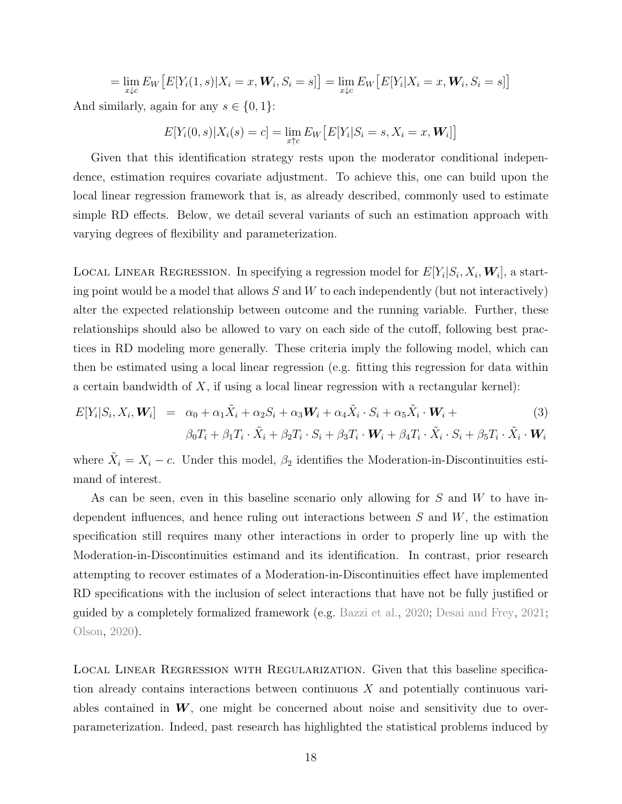$$
= \lim_{x \downarrow c} E_W \big[ E[Y_i(1, s) | X_i = x, \mathbf{W}_i, S_i = s] \big] = \lim_{x \downarrow c} E_W \big[ E[Y_i | X_i = x, \mathbf{W}_i, S_i = s] \big]
$$

And similarly, again for any  $s \in \{0,1\}$ :

$$
E[Y_i(0, s)|X_i(s) = c] = \lim_{x \uparrow c} E_W \big[ E[Y_i|S_i = s, X_i = x, \mathbf{W}_i] \big]
$$

Given that this identification strategy rests upon the moderator conditional independence, estimation requires covariate adjustment. To achieve this, one can build upon the local linear regression framework that is, as already described, commonly used to estimate simple RD effects. Below, we detail several variants of such an estimation approach with varying degrees of flexibility and parameterization.

LOCAL LINEAR REGRESSION. In specifying a regression model for  $E[Y_i|S_i, X_i, W_i]$ , a starting point would be a model that allows  $S$  and  $W$  to each independently (but not interactively) alter the expected relationship between outcome and the running variable. Further, these relationships should also be allowed to vary on each side of the cutoff, following best practices in RD modeling more generally. These criteria imply the following model, which can then be estimated using a local linear regression (e.g. fitting this regression for data within a certain bandwidth of  $X$ , if using a local linear regression with a rectangular kernel):

$$
E[Y_i|S_i, X_i, \mathbf{W}_i] = \alpha_0 + \alpha_1 \tilde{X}_i + \alpha_2 S_i + \alpha_3 \mathbf{W}_i + \alpha_4 \tilde{X}_i \cdot S_i + \alpha_5 \tilde{X}_i \cdot \mathbf{W}_i +
$$
\n(3)

$$
\beta_0 T_i + \beta_1 T_i \cdot \tilde{X}_i + \beta_2 T_i \cdot S_i + \beta_3 T_i \cdot \mathbf{W}_i + \beta_4 T_i \cdot \tilde{X}_i \cdot S_i + \beta_5 T_i \cdot \tilde{X}_i \cdot \mathbf{W}_i
$$

where  $\tilde{X}_i = X_i - c$ . Under this model,  $\beta_2$  identifies the Moderation-in-Discontinuities estimand of interest.

As can be seen, even in this baseline scenario only allowing for  $S$  and  $W$  to have independent influences, and hence ruling out interactions between  $S$  and  $W$ , the estimation specification still requires many other interactions in order to properly line up with the Moderation-in-Discontinuities estimand and its identification. In contrast, prior research attempting to recover estimates of a Moderation-in-Discontinuities effect have implemented RD specifications with the inclusion of select interactions that have not be fully justified or guided by a completely formalized framework (e.g. [Bazzi et al.,](#page-34-9) [2020;](#page-34-9) [Desai and Frey,](#page-35-7) [2021;](#page-35-7) [Olson,](#page-38-7) [2020\)](#page-38-7).

Local Linear Regression with Regularization. Given that this baseline specification already contains interactions between continuous X and potentially continuous variables contained in  $W$ , one might be concerned about noise and sensitivity due to overparameterization. Indeed, past research has highlighted the statistical problems induced by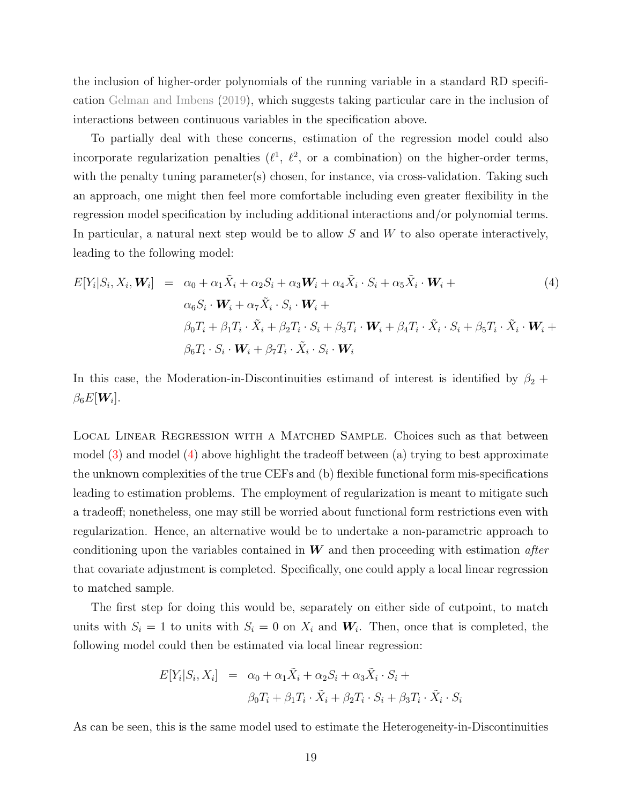the inclusion of higher-order polynomials of the running variable in a standard RD specification [Gelman and Imbens](#page-36-11) [\(2019\)](#page-36-11), which suggests taking particular care in the inclusion of interactions between continuous variables in the specification above.

To partially deal with these concerns, estimation of the regression model could also incorporate regularization penalties  $(\ell^1, \ell^2, \text{ or a combination})$  on the higher-order terms, with the penalty tuning parameter(s) chosen, for instance, via cross-validation. Taking such an approach, one might then feel more comfortable including even greater flexibility in the regression model specification by including additional interactions and/or polynomial terms. In particular, a natural next step would be to allow S and W to also operate interactively, leading to the following model:

<span id="page-19-0"></span>
$$
E[Y_i|S_i, X_i, \mathbf{W}_i] = \alpha_0 + \alpha_1 \tilde{X}_i + \alpha_2 S_i + \alpha_3 \mathbf{W}_i + \alpha_4 \tilde{X}_i \cdot S_i + \alpha_5 \tilde{X}_i \cdot \mathbf{W}_i +
$$
  
\n
$$
\alpha_6 S_i \cdot \mathbf{W}_i + \alpha_7 \tilde{X}_i \cdot S_i \cdot \mathbf{W}_i +
$$
  
\n
$$
\beta_0 T_i + \beta_1 T_i \cdot \tilde{X}_i + \beta_2 T_i \cdot S_i + \beta_3 T_i \cdot \mathbf{W}_i + \beta_4 T_i \cdot \tilde{X}_i \cdot S_i + \beta_5 T_i \cdot \tilde{X}_i \cdot \mathbf{W}_i +
$$
  
\n
$$
\beta_6 T_i \cdot S_i \cdot \mathbf{W}_i + \beta_7 T_i \cdot \tilde{X}_i \cdot S_i \cdot \mathbf{W}_i
$$
 (4)

In this case, the Moderation-in-Discontinuities estimand of interest is identified by  $\beta_2$  +  $\beta_6 E[\boldsymbol{W}_i].$ 

Local Linear Regression with a Matched Sample. Choices such as that between model [\(3\)](#page-17-0) and model [\(4\)](#page-19-0) above highlight the tradeoff between (a) trying to best approximate the unknown complexities of the true CEFs and (b) flexible functional form mis-specifications leading to estimation problems. The employment of regularization is meant to mitigate such a tradeoff; nonetheless, one may still be worried about functional form restrictions even with regularization. Hence, an alternative would be to undertake a non-parametric approach to conditioning upon the variables contained in  $W$  and then proceeding with estimation *after* that covariate adjustment is completed. Specifically, one could apply a local linear regression to matched sample.

The first step for doing this would be, separately on either side of cutpoint, to match units with  $S_i = 1$  to units with  $S_i = 0$  on  $X_i$  and  $W_i$ . Then, once that is completed, the following model could then be estimated via local linear regression:

$$
E[Y_i|S_i, X_i] = \alpha_0 + \alpha_1 \tilde{X}_i + \alpha_2 S_i + \alpha_3 \tilde{X}_i \cdot S_i +
$$
  

$$
\beta_0 T_i + \beta_1 T_i \cdot \tilde{X}_i + \beta_2 T_i \cdot S_i + \beta_3 T_i \cdot \tilde{X}_i \cdot S_i
$$

As can be seen, this is the same model used to estimate the Heterogeneity-in-Discontinuities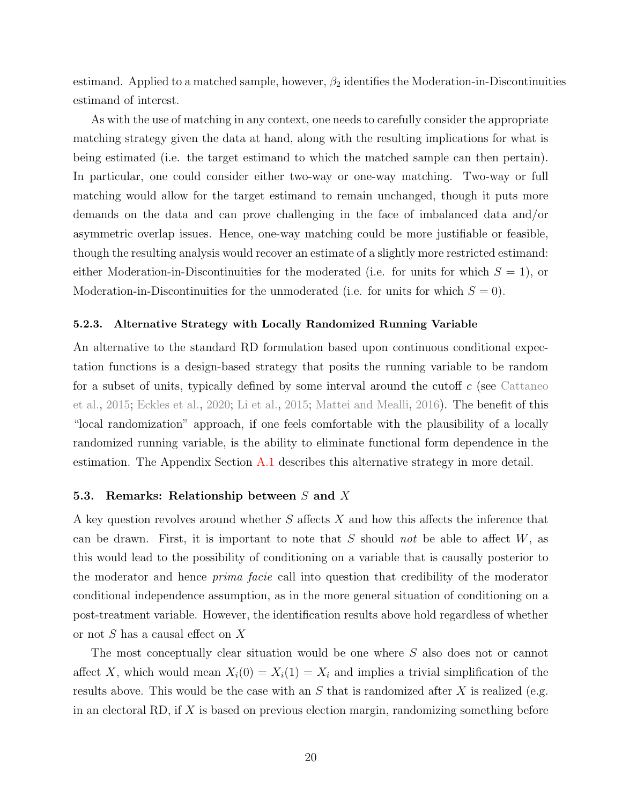estimand. Applied to a matched sample, however,  $\beta_2$  identifies the Moderation-in-Discontinuities estimand of interest.

As with the use of matching in any context, one needs to carefully consider the appropriate matching strategy given the data at hand, along with the resulting implications for what is being estimated (i.e. the target estimand to which the matched sample can then pertain). In particular, one could consider either two-way or one-way matching. Two-way or full matching would allow for the target estimand to remain unchanged, though it puts more demands on the data and can prove challenging in the face of imbalanced data and/or asymmetric overlap issues. Hence, one-way matching could be more justifiable or feasible, though the resulting analysis would recover an estimate of a slightly more restricted estimand: either Moderation-in-Discontinuities for the moderated (i.e. for units for which  $S = 1$ ), or Moderation-in-Discontinuities for the unmoderated (i.e. for units for which  $S = 0$ ).

#### 5.2.3. Alternative Strategy with Locally Randomized Running Variable

An alternative to the standard RD formulation based upon continuous conditional expectation functions is a design-based strategy that posits the running variable to be random for a subset of units, typically defined by some interval around the cutoff  $c$  (see [Cattaneo](#page-35-10) [et al.,](#page-35-10) [2015;](#page-35-10) [Eckles et al.,](#page-36-12) [2020;](#page-36-12) [Li et al.,](#page-37-10) [2015;](#page-37-10) [Mattei and Mealli,](#page-37-11) [2016\)](#page-37-11). The benefit of this "local randomization" approach, if one feels comfortable with the plausibility of a locally randomized running variable, is the ability to eliminate functional form dependence in the estimation. The Appendix Section [A.1](#page-40-0) describes this alternative strategy in more detail.

#### 5.3. Remarks: Relationship between S and X

A key question revolves around whether S affects X and how this affects the inference that can be drawn. First, it is important to note that  $S$  should not be able to affect  $W$ , as this would lead to the possibility of conditioning on a variable that is causally posterior to the moderator and hence prima facie call into question that credibility of the moderator conditional independence assumption, as in the more general situation of conditioning on a post-treatment variable. However, the identification results above hold regardless of whether or not S has a causal effect on X

The most conceptually clear situation would be one where S also does not or cannot affect X, which would mean  $X_i(0) = X_i(1) = X_i$  and implies a trivial simplification of the results above. This would be the case with an  $S$  that is randomized after  $X$  is realized (e.g. in an electoral RD, if  $X$  is based on previous election margin, randomizing something before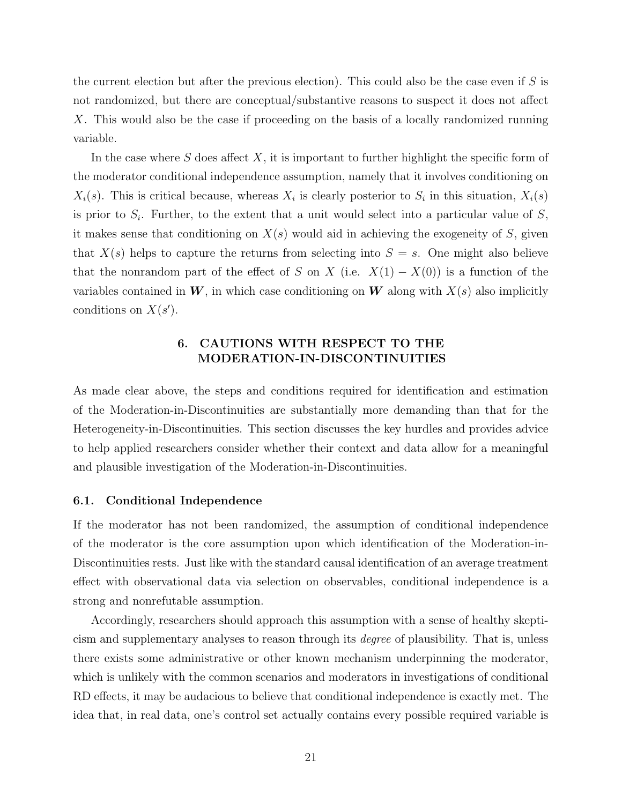the current election but after the previous election). This could also be the case even if  $S$  is not randomized, but there are conceptual/substantive reasons to suspect it does not affect X. This would also be the case if proceeding on the basis of a locally randomized running variable.

In the case where S does affect X, it is important to further highlight the specific form of the moderator conditional independence assumption, namely that it involves conditioning on  $X_i(s)$ . This is critical because, whereas  $X_i$  is clearly posterior to  $S_i$  in this situation,  $X_i(s)$ is prior to  $S_i$ . Further, to the extent that a unit would select into a particular value of  $S$ , it makes sense that conditioning on  $X(s)$  would aid in achieving the exogeneity of S, given that  $X(s)$  helps to capture the returns from selecting into  $S = s$ . One might also believe that the nonrandom part of the effect of S on X (i.e.  $X(1) - X(0)$ ) is a function of the variables contained in  $W$ , in which case conditioning on  $W$  along with  $X(s)$  also implicitly conditions on  $X(s')$ .

# 6. CAUTIONS WITH RESPECT TO THE MODERATION-IN-DISCONTINUITIES

As made clear above, the steps and conditions required for identification and estimation of the Moderation-in-Discontinuities are substantially more demanding than that for the Heterogeneity-in-Discontinuities. This section discusses the key hurdles and provides advice to help applied researchers consider whether their context and data allow for a meaningful and plausible investigation of the Moderation-in-Discontinuities.

#### 6.1. Conditional Independence

If the moderator has not been randomized, the assumption of conditional independence of the moderator is the core assumption upon which identification of the Moderation-in-Discontinuities rests. Just like with the standard causal identification of an average treatment effect with observational data via selection on observables, conditional independence is a strong and nonrefutable assumption.

Accordingly, researchers should approach this assumption with a sense of healthy skepticism and supplementary analyses to reason through its degree of plausibility. That is, unless there exists some administrative or other known mechanism underpinning the moderator, which is unlikely with the common scenarios and moderators in investigations of conditional RD effects, it may be audacious to believe that conditional independence is exactly met. The idea that, in real data, one's control set actually contains every possible required variable is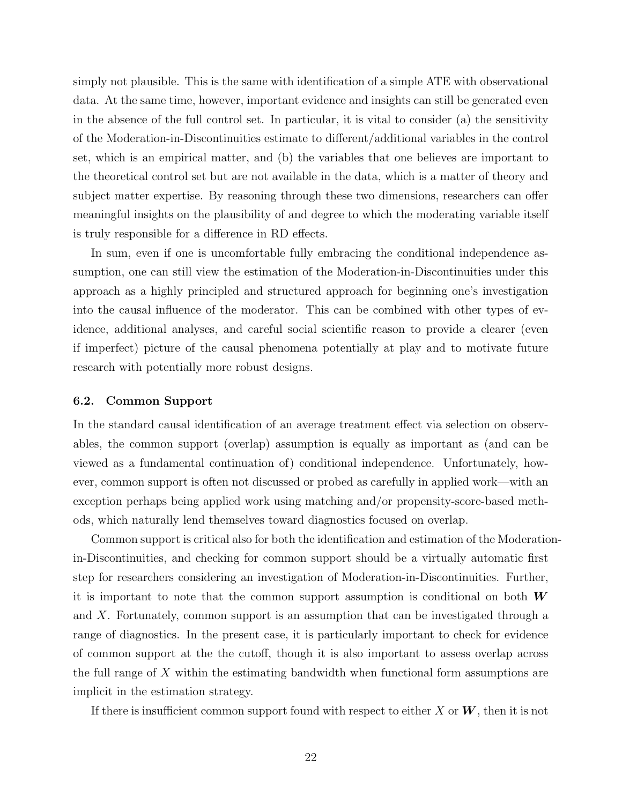simply not plausible. This is the same with identification of a simple ATE with observational data. At the same time, however, important evidence and insights can still be generated even in the absence of the full control set. In particular, it is vital to consider (a) the sensitivity of the Moderation-in-Discontinuities estimate to different/additional variables in the control set, which is an empirical matter, and (b) the variables that one believes are important to the theoretical control set but are not available in the data, which is a matter of theory and subject matter expertise. By reasoning through these two dimensions, researchers can offer meaningful insights on the plausibility of and degree to which the moderating variable itself is truly responsible for a difference in RD effects.

In sum, even if one is uncomfortable fully embracing the conditional independence assumption, one can still view the estimation of the Moderation-in-Discontinuities under this approach as a highly principled and structured approach for beginning one's investigation into the causal influence of the moderator. This can be combined with other types of evidence, additional analyses, and careful social scientific reason to provide a clearer (even if imperfect) picture of the causal phenomena potentially at play and to motivate future research with potentially more robust designs.

# 6.2. Common Support

In the standard causal identification of an average treatment effect via selection on observables, the common support (overlap) assumption is equally as important as (and can be viewed as a fundamental continuation of) conditional independence. Unfortunately, however, common support is often not discussed or probed as carefully in applied work—with an exception perhaps being applied work using matching and/or propensity-score-based methods, which naturally lend themselves toward diagnostics focused on overlap.

Common support is critical also for both the identification and estimation of the Moderationin-Discontinuities, and checking for common support should be a virtually automatic first step for researchers considering an investigation of Moderation-in-Discontinuities. Further, it is important to note that the common support assumption is conditional on both  $W$ and X. Fortunately, common support is an assumption that can be investigated through a range of diagnostics. In the present case, it is particularly important to check for evidence of common support at the the cutoff, though it is also important to assess overlap across the full range of X within the estimating bandwidth when functional form assumptions are implicit in the estimation strategy.

If there is insufficient common support found with respect to either X or  $W$ , then it is not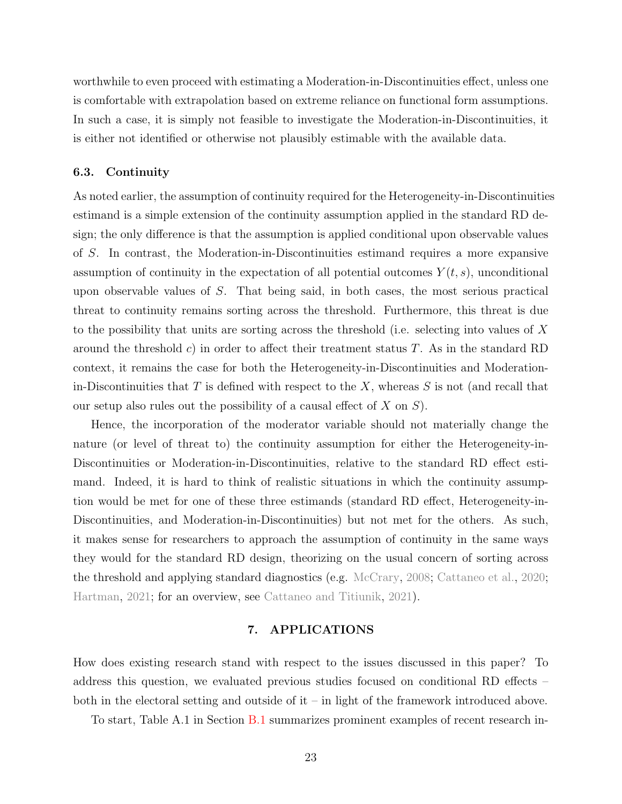worthwhile to even proceed with estimating a Moderation-in-Discontinuities effect, unless one is comfortable with extrapolation based on extreme reliance on functional form assumptions. In such a case, it is simply not feasible to investigate the Moderation-in-Discontinuities, it is either not identified or otherwise not plausibly estimable with the available data.

# <span id="page-23-0"></span>6.3. Continuity

As noted earlier, the assumption of continuity required for the Heterogeneity-in-Discontinuities estimand is a simple extension of the continuity assumption applied in the standard RD design; the only difference is that the assumption is applied conditional upon observable values of S. In contrast, the Moderation-in-Discontinuities estimand requires a more expansive assumption of continuity in the expectation of all potential outcomes  $Y(t, s)$ , unconditional upon observable values of S. That being said, in both cases, the most serious practical threat to continuity remains sorting across the threshold. Furthermore, this threat is due to the possibility that units are sorting across the threshold (i.e. selecting into values of X around the threshold c) in order to affect their treatment status  $T$ . As in the standard RD context, it remains the case for both the Heterogeneity-in-Discontinuities and Moderationin-Discontinuities that  $T$  is defined with respect to the  $X$ , whereas  $S$  is not (and recall that our setup also rules out the possibility of a causal effect of  $X$  on  $S$ ).

Hence, the incorporation of the moderator variable should not materially change the nature (or level of threat to) the continuity assumption for either the Heterogeneity-in-Discontinuities or Moderation-in-Discontinuities, relative to the standard RD effect estimand. Indeed, it is hard to think of realistic situations in which the continuity assumption would be met for one of these three estimands (standard RD effect, Heterogeneity-in-Discontinuities, and Moderation-in-Discontinuities) but not met for the others. As such, it makes sense for researchers to approach the assumption of continuity in the same ways they would for the standard RD design, theorizing on the usual concern of sorting across the threshold and applying standard diagnostics (e.g. [McCrary,](#page-37-12) [2008;](#page-37-12) [Cattaneo et al.,](#page-35-11) [2020;](#page-35-11) [Hartman,](#page-37-13) [2021;](#page-37-13) for an overview, see [Cattaneo and Titiunik,](#page-35-12) [2021\)](#page-35-12).

# 7. APPLICATIONS

How does existing research stand with respect to the issues discussed in this paper? To address this question, we evaluated previous studies focused on conditional RD effects – both in the electoral setting and outside of it – in light of the framework introduced above.

To start, Table A.1 in Section [B.1](#page-4-0) summarizes prominent examples of recent research in-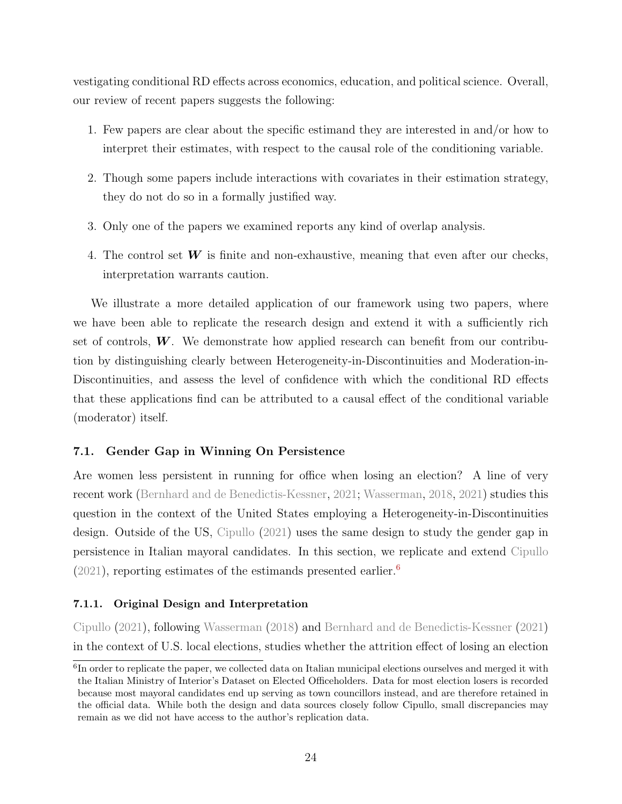vestigating conditional RD effects across economics, education, and political science. Overall, our review of recent papers suggests the following:

- 1. Few papers are clear about the specific estimand they are interested in and/or how to interpret their estimates, with respect to the causal role of the conditioning variable.
- 2. Though some papers include interactions with covariates in their estimation strategy, they do not do so in a formally justified way.
- 3. Only one of the papers we examined reports any kind of overlap analysis.
- 4. The control set  $W$  is finite and non-exhaustive, meaning that even after our checks, interpretation warrants caution.

We illustrate a more detailed application of our framework using two papers, where we have been able to replicate the research design and extend it with a sufficiently rich set of controls,  $W$ . We demonstrate how applied research can benefit from our contribution by distinguishing clearly between Heterogeneity-in-Discontinuities and Moderation-in-Discontinuities, and assess the level of confidence with which the conditional RD effects that these applications find can be attributed to a causal effect of the conditional variable (moderator) itself.

# 7.1. Gender Gap in Winning On Persistence

Are women less persistent in running for office when losing an election? A line of very recent work [\(Bernhard and de Benedictis-Kessner,](#page-34-4) [2021;](#page-34-4) [Wasserman,](#page-39-1) [2018,](#page-39-1) [2021\)](#page-39-2) studies this question in the context of the United States employing a Heterogeneity-in-Discontinuities design. Outside of the US, [Cipullo](#page-35-6) [\(2021\)](#page-35-6) uses the same design to study the gender gap in persistence in Italian mayoral candidates. In this section, we replicate and extend [Cipullo](#page-35-6)  $(2021)$ , reporting estimates of the estimands presented earlier.<sup>[6](#page-0-0)</sup>

# 7.1.1. Original Design and Interpretation

[Cipullo](#page-35-6) [\(2021\)](#page-35-6), following [Wasserman](#page-39-1) [\(2018\)](#page-39-1) and [Bernhard and de Benedictis-Kessner](#page-34-4) [\(2021\)](#page-34-4) in the context of U.S. local elections, studies whether the attrition effect of losing an election

<sup>&</sup>lt;sup>6</sup>In order to replicate the paper, we collected data on Italian municipal elections ourselves and merged it with the Italian Ministry of Interior's Dataset on Elected Officeholders. Data for most election losers is recorded because most mayoral candidates end up serving as town councillors instead, and are therefore retained in the official data. While both the design and data sources closely follow Cipullo, small discrepancies may remain as we did not have access to the author's replication data.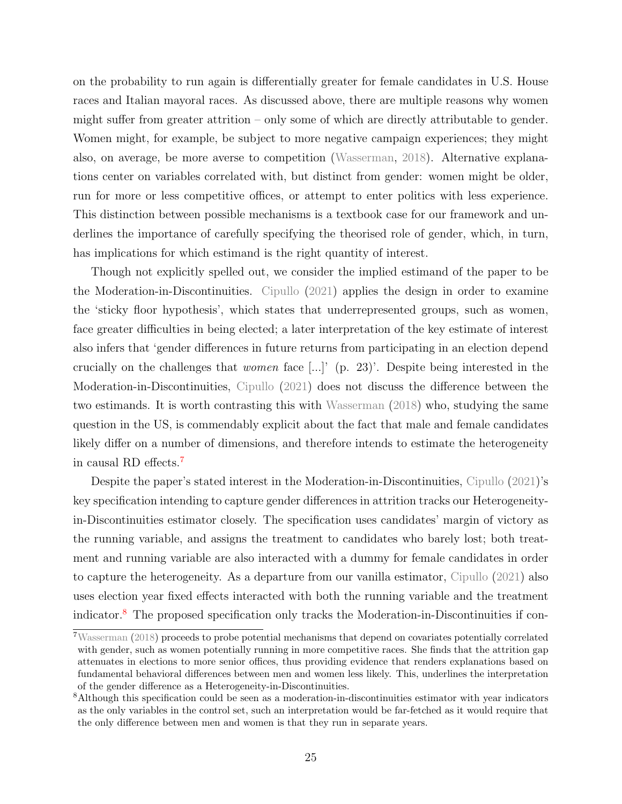on the probability to run again is differentially greater for female candidates in U.S. House races and Italian mayoral races. As discussed above, there are multiple reasons why women might suffer from greater attrition – only some of which are directly attributable to gender. Women might, for example, be subject to more negative campaign experiences; they might also, on average, be more averse to competition [\(Wasserman,](#page-39-1) [2018\)](#page-39-1). Alternative explanations center on variables correlated with, but distinct from gender: women might be older, run for more or less competitive offices, or attempt to enter politics with less experience. This distinction between possible mechanisms is a textbook case for our framework and underlines the importance of carefully specifying the theorised role of gender, which, in turn, has implications for which estimand is the right quantity of interest.

Though not explicitly spelled out, we consider the implied estimand of the paper to be the Moderation-in-Discontinuities. [Cipullo](#page-35-6) [\(2021\)](#page-35-6) applies the design in order to examine the 'sticky floor hypothesis', which states that underrepresented groups, such as women, face greater difficulties in being elected; a later interpretation of the key estimate of interest also infers that 'gender differences in future returns from participating in an election depend crucially on the challenges that women face [...]' (p. 23)'. Despite being interested in the Moderation-in-Discontinuities, [Cipullo](#page-35-6) [\(2021\)](#page-35-6) does not discuss the difference between the two estimands. It is worth contrasting this with [Wasserman](#page-39-1) [\(2018\)](#page-39-1) who, studying the same question in the US, is commendably explicit about the fact that male and female candidates likely differ on a number of dimensions, and therefore intends to estimate the heterogeneity in causal RD effects.[7](#page-0-0)

Despite the paper's stated interest in the Moderation-in-Discontinuities, [Cipullo](#page-35-6) [\(2021\)](#page-35-6)'s key specification intending to capture gender differences in attrition tracks our Heterogeneityin-Discontinuities estimator closely. The specification uses candidates' margin of victory as the running variable, and assigns the treatment to candidates who barely lost; both treatment and running variable are also interacted with a dummy for female candidates in order to capture the heterogeneity. As a departure from our vanilla estimator, [Cipullo](#page-35-6) [\(2021\)](#page-35-6) also uses election year fixed effects interacted with both the running variable and the treatment indicator.[8](#page-0-0) The proposed specification only tracks the Moderation-in-Discontinuities if con-

<sup>7</sup>[Wasserman](#page-39-1) [\(2018\)](#page-39-1) proceeds to probe potential mechanisms that depend on covariates potentially correlated with gender, such as women potentially running in more competitive races. She finds that the attrition gap attenuates in elections to more senior offices, thus providing evidence that renders explanations based on fundamental behavioral differences between men and women less likely. This, underlines the interpretation of the gender difference as a Heterogeneity-in-Discontinuities.

<sup>&</sup>lt;sup>8</sup>Although this specification could be seen as a moderation-in-discontinuities estimator with year indicators as the only variables in the control set, such an interpretation would be far-fetched as it would require that the only difference between men and women is that they run in separate years.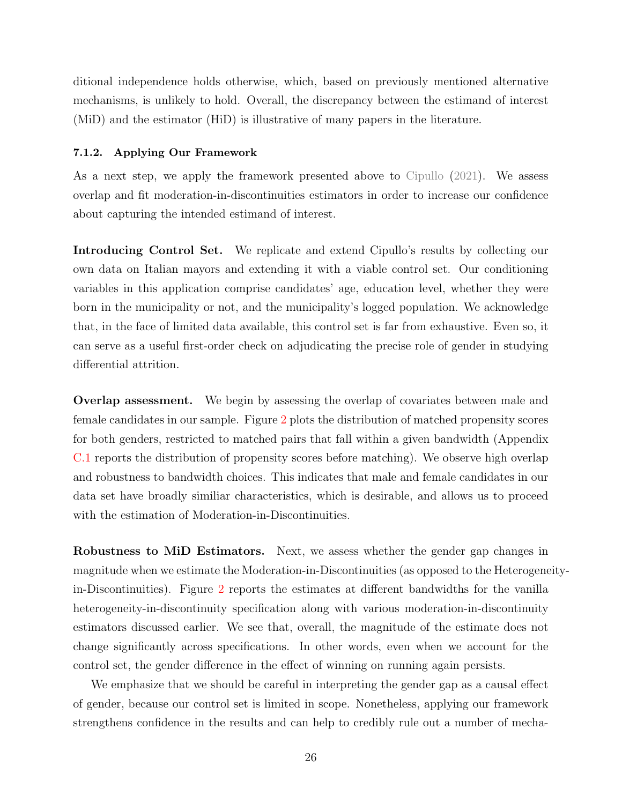ditional independence holds otherwise, which, based on previously mentioned alternative mechanisms, is unlikely to hold. Overall, the discrepancy between the estimand of interest (MiD) and the estimator (HiD) is illustrative of many papers in the literature.

#### 7.1.2. Applying Our Framework

As a next step, we apply the framework presented above to [Cipullo](#page-35-6) [\(2021\)](#page-35-6). We assess overlap and fit moderation-in-discontinuities estimators in order to increase our confidence about capturing the intended estimand of interest.

Introducing Control Set. We replicate and extend Cipullo's results by collecting our own data on Italian mayors and extending it with a viable control set. Our conditioning variables in this application comprise candidates' age, education level, whether they were born in the municipality or not, and the municipality's logged population. We acknowledge that, in the face of limited data available, this control set is far from exhaustive. Even so, it can serve as a useful first-order check on adjudicating the precise role of gender in studying differential attrition.

Overlap assessment. We begin by assessing the overlap of covariates between male and female candidates in our sample. Figure [2](#page-28-0) plots the distribution of matched propensity scores for both genders, restricted to matched pairs that fall within a given bandwidth (Appendix [C.1](#page-43-0) reports the distribution of propensity scores before matching). We observe high overlap and robustness to bandwidth choices. This indicates that male and female candidates in our data set have broadly similiar characteristics, which is desirable, and allows us to proceed with the estimation of Moderation-in-Discontinuities.

Robustness to MiD Estimators. Next, we assess whether the gender gap changes in magnitude when we estimate the Moderation-in-Discontinuities (as opposed to the Heterogeneityin-Discontinuities). Figure [2](#page-28-0) reports the estimates at different bandwidths for the vanilla heterogeneity-in-discontinuity specification along with various moderation-in-discontinuity estimators discussed earlier. We see that, overall, the magnitude of the estimate does not change significantly across specifications. In other words, even when we account for the control set, the gender difference in the effect of winning on running again persists.

We emphasize that we should be careful in interpreting the gender gap as a causal effect of gender, because our control set is limited in scope. Nonetheless, applying our framework strengthens confidence in the results and can help to credibly rule out a number of mecha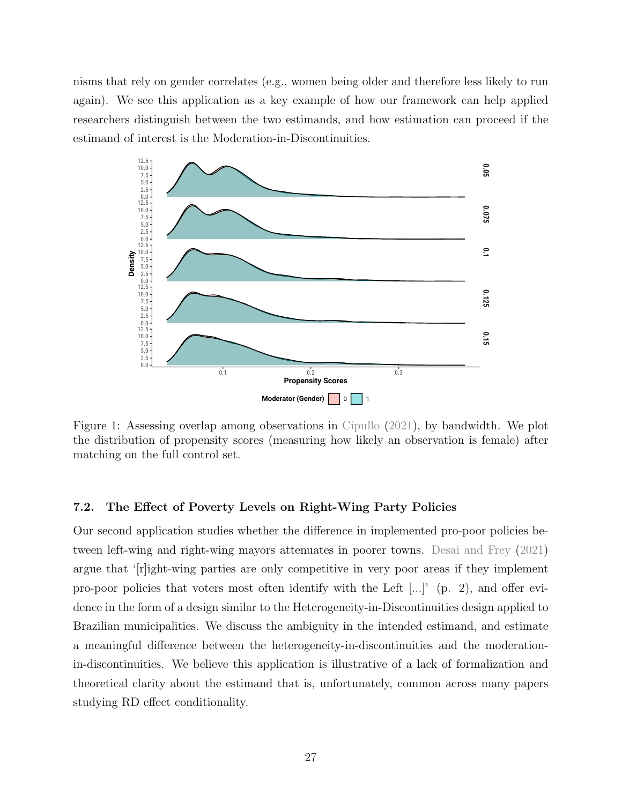nisms that rely on gender correlates (e.g., women being older and therefore less likely to run again). We see this application as a key example of how our framework can help applied researchers distinguish between the two estimands, and how estimation can proceed if the estimand of interest is the Moderation-in-Discontinuities.



Figure 1: Assessing overlap among observations in [Cipullo](#page-35-6) [\(2021\)](#page-35-6), by bandwidth. We plot the distribution of propensity scores (measuring how likely an observation is female) after matching on the full control set.

# 7.2. The Effect of Poverty Levels on Right-Wing Party Policies

Our second application studies whether the difference in implemented pro-poor policies between left-wing and right-wing mayors attenuates in poorer towns. [Desai and Frey](#page-35-7) [\(2021\)](#page-35-7) argue that '[r]ight-wing parties are only competitive in very poor areas if they implement pro-poor policies that voters most often identify with the Left [...]' (p. 2), and offer evidence in the form of a design similar to the Heterogeneity-in-Discontinuities design applied to Brazilian municipalities. We discuss the ambiguity in the intended estimand, and estimate a meaningful difference between the heterogeneity-in-discontinuities and the moderationin-discontinuities. We believe this application is illustrative of a lack of formalization and theoretical clarity about the estimand that is, unfortunately, common across many papers studying RD effect conditionality.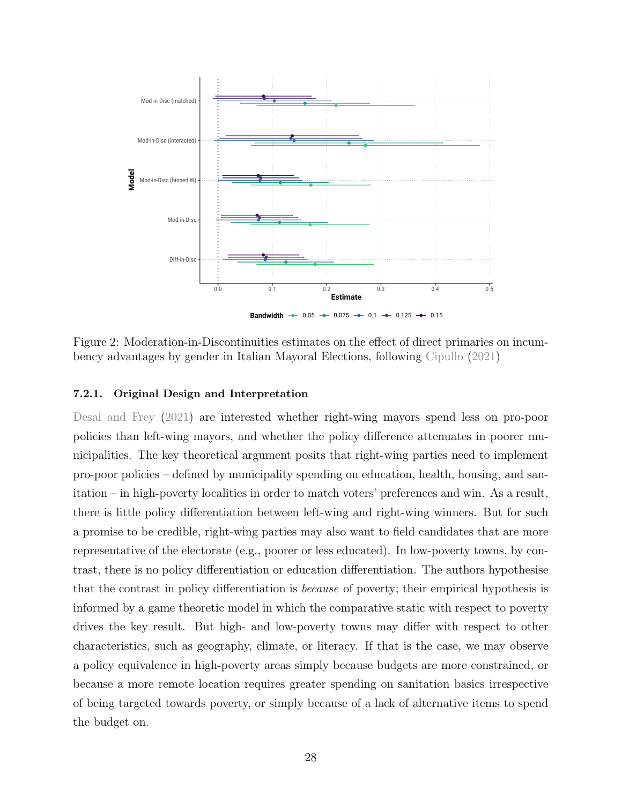<span id="page-28-0"></span>

Figure 2: Moderation-in-Discontinuities estimates on the effect of direct primaries on incumbency advantages by gender in Italian Mayoral Elections, following [Cipullo](#page-35-6) [\(2021\)](#page-35-6)

# 7.2.1. Original Design and Interpretation

[Desai and Frey](#page-35-7) [\(2021\)](#page-35-7) are interested whether right-wing mayors spend less on pro-poor policies than left-wing mayors, and whether the policy difference attenuates in poorer municipalities. The key theoretical argument posits that right-wing parties need to implement pro-poor policies – defined by municipality spending on education, health, housing, and sanitation – in high-poverty localities in order to match voters' preferences and win. As a result, there is little policy differentiation between left-wing and right-wing winners. But for such a promise to be credible, right-wing parties may also want to field candidates that are more representative of the electorate (e.g., poorer or less educated). In low-poverty towns, by contrast, there is no policy differentiation or education differentiation. The authors hypothesise that the contrast in policy differentiation is because of poverty; their empirical hypothesis is informed by a game theoretic model in which the comparative static with respect to poverty drives the key result. But high- and low-poverty towns may differ with respect to other characteristics, such as geography, climate, or literacy. If that is the case, we may observe a policy equivalence in high-poverty areas simply because budgets are more constrained, or because a more remote location requires greater spending on sanitation basics irrespective of being targeted towards poverty, or simply because of a lack of alternative items to spend the budget on.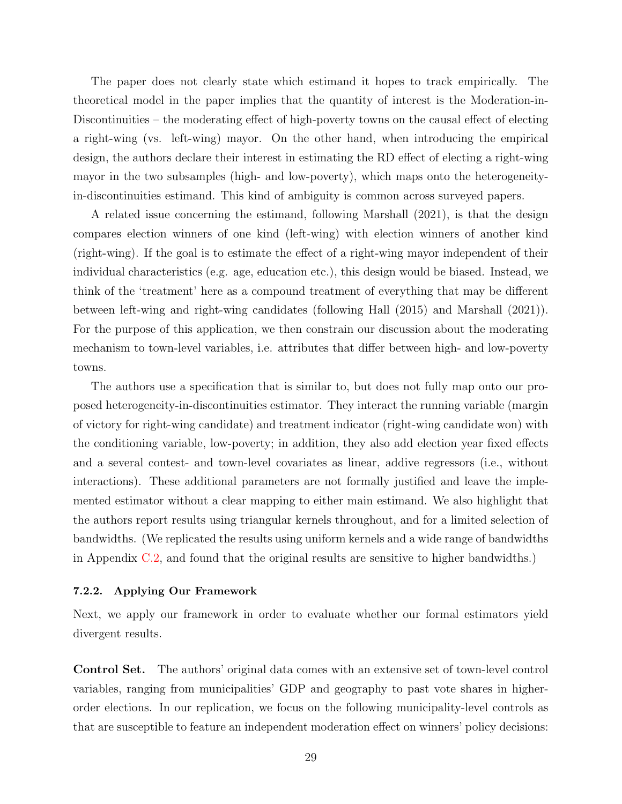The paper does not clearly state which estimand it hopes to track empirically. The theoretical model in the paper implies that the quantity of interest is the Moderation-in-Discontinuities – the moderating effect of high-poverty towns on the causal effect of electing a right-wing (vs. left-wing) mayor. On the other hand, when introducing the empirical design, the authors declare their interest in estimating the RD effect of electing a right-wing mayor in the two subsamples (high- and low-poverty), which maps onto the heterogeneityin-discontinuities estimand. This kind of ambiguity is common across surveyed papers.

A related issue concerning the estimand, following Marshall (2021), is that the design compares election winners of one kind (left-wing) with election winners of another kind (right-wing). If the goal is to estimate the effect of a right-wing mayor independent of their individual characteristics (e.g. age, education etc.), this design would be biased. Instead, we think of the 'treatment' here as a compound treatment of everything that may be different between left-wing and right-wing candidates (following Hall (2015) and Marshall (2021)). For the purpose of this application, we then constrain our discussion about the moderating mechanism to town-level variables, i.e. attributes that differ between high- and low-poverty towns.

The authors use a specification that is similar to, but does not fully map onto our proposed heterogeneity-in-discontinuities estimator. They interact the running variable (margin of victory for right-wing candidate) and treatment indicator (right-wing candidate won) with the conditioning variable, low-poverty; in addition, they also add election year fixed effects and a several contest- and town-level covariates as linear, addive regressors (i.e., without interactions). These additional parameters are not formally justified and leave the implemented estimator without a clear mapping to either main estimand. We also highlight that the authors report results using triangular kernels throughout, and for a limited selection of bandwidths. (We replicated the results using uniform kernels and a wide range of bandwidths in Appendix [C.2,](#page-45-0) and found that the original results are sensitive to higher bandwidths.)

# 7.2.2. Applying Our Framework

Next, we apply our framework in order to evaluate whether our formal estimators yield divergent results.

Control Set. The authors' original data comes with an extensive set of town-level control variables, ranging from municipalities' GDP and geography to past vote shares in higherorder elections. In our replication, we focus on the following municipality-level controls as that are susceptible to feature an independent moderation effect on winners' policy decisions: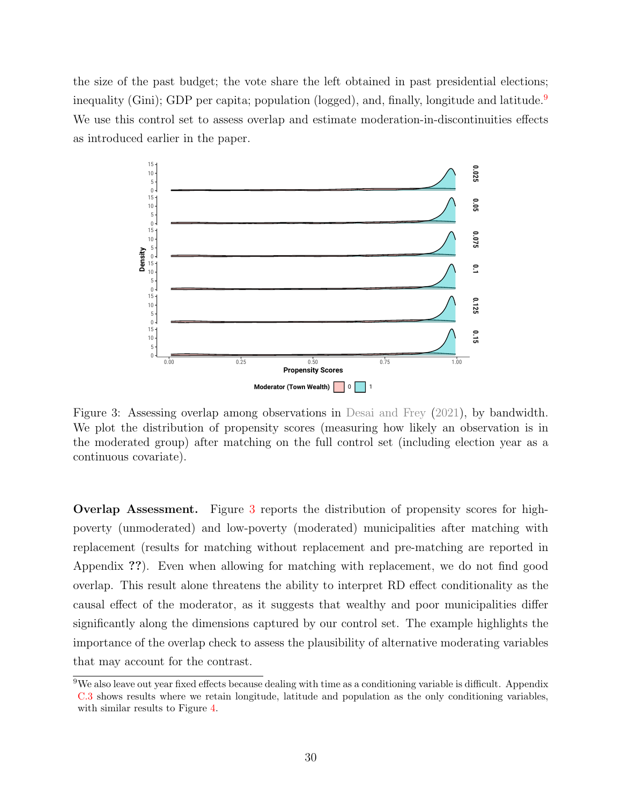the size of the past budget; the vote share the left obtained in past presidential elections; inequality (Gini); GDP per capita; population (logged), and, finally, longitude and latitude.<sup>[9](#page-0-0)</sup> We use this control set to assess overlap and estimate moderation-in-discontinuities effects as introduced earlier in the paper.

<span id="page-30-0"></span>

Figure 3: Assessing overlap among observations in [Desai and Frey](#page-35-7) [\(2021\)](#page-35-7), by bandwidth. We plot the distribution of propensity scores (measuring how likely an observation is in the moderated group) after matching on the full control set (including election year as a continuous covariate).

Overlap Assessment. Figure [3](#page-30-0) reports the distribution of propensity scores for highpoverty (unmoderated) and low-poverty (moderated) municipalities after matching with replacement (results for matching without replacement and pre-matching are reported in Appendix ??). Even when allowing for matching with replacement, we do not find good overlap. This result alone threatens the ability to interpret RD effect conditionality as the causal effect of the moderator, as it suggests that wealthy and poor municipalities differ significantly along the dimensions captured by our control set. The example highlights the importance of the overlap check to assess the plausibility of alternative moderating variables that may account for the contrast.

<sup>9</sup>We also leave out year fixed effects because dealing with time as a conditioning variable is difficult. Appendix [C.3](#page-46-0) shows results where we retain longitude, latitude and population as the only conditioning variables, with similar results to Figure [4.](#page-32-0)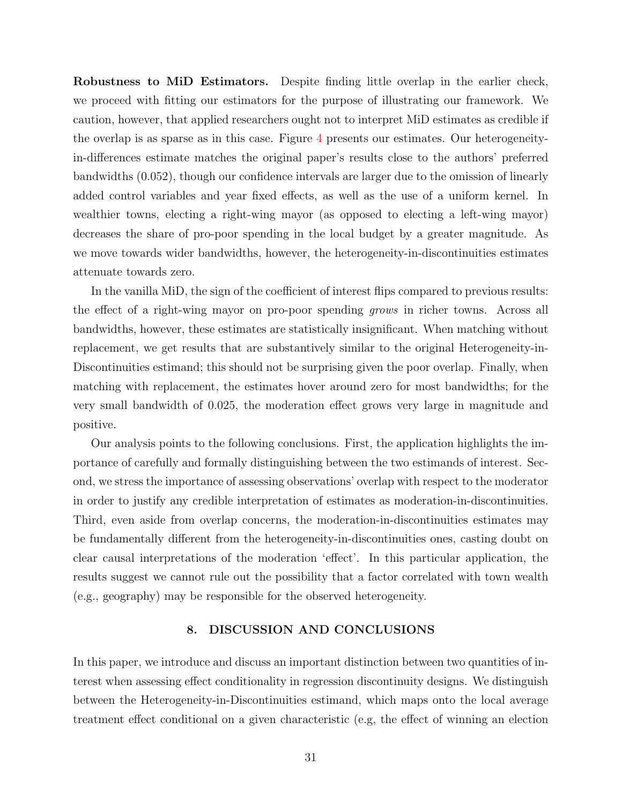Robustness to MiD Estimators. Despite finding little overlap in the earlier check, we proceed with fitting our estimators for the purpose of illustrating our framework. We caution, however, that applied researchers ought not to interpret MiD estimates as credible if the overlap is as sparse as in this case. Figure [4](#page-32-0) presents our estimates. Our heterogeneityin-differences estimate matches the original paper's results close to the authors' preferred bandwidths (0.052), though our confidence intervals are larger due to the omission of linearly added control variables and year fixed effects, as well as the use of a uniform kernel. In wealthier towns, electing a right-wing mayor (as opposed to electing a left-wing mayor) decreases the share of pro-poor spending in the local budget by a greater magnitude. As we move towards wider bandwidths, however, the heterogeneity-in-discontinuities estimates attenuate towards zero.

In the vanilla MiD, the sign of the coefficient of interest flips compared to previous results: the effect of a right-wing mayor on pro-poor spending grows in richer towns. Across all bandwidths, however, these estimates are statistically insignificant. When matching without replacement, we get results that are substantively similar to the original Heterogeneity-in-Discontinuities estimand; this should not be surprising given the poor overlap. Finally, when matching with replacement, the estimates hover around zero for most bandwidths; for the very small bandwidth of 0.025, the moderation effect grows very large in magnitude and positive.

Our analysis points to the following conclusions. First, the application highlights the importance of carefully and formally distinguishing between the two estimands of interest. Second, we stress the importance of assessing observations' overlap with respect to the moderator in order to justify any credible interpretation of estimates as moderation-in-discontinuities. Third, even aside from overlap concerns, the moderation-in-discontinuities estimates may be fundamentally different from the heterogeneity-in-discontinuities ones, casting doubt on clear causal interpretations of the moderation 'effect'. In this particular application, the results suggest we cannot rule out the possibility that a factor correlated with town wealth (e.g., geography) may be responsible for the observed heterogeneity.

# 8. DISCUSSION AND CONCLUSIONS

In this paper, we introduce and discuss an important distinction between two quantities of interest when assessing effect conditionality in regression discontinuity designs. We distinguish between the Heterogeneity-in-Discontinuities estimand, which maps onto the local average treatment effect conditional on a given characteristic (e.g, the effect of winning an election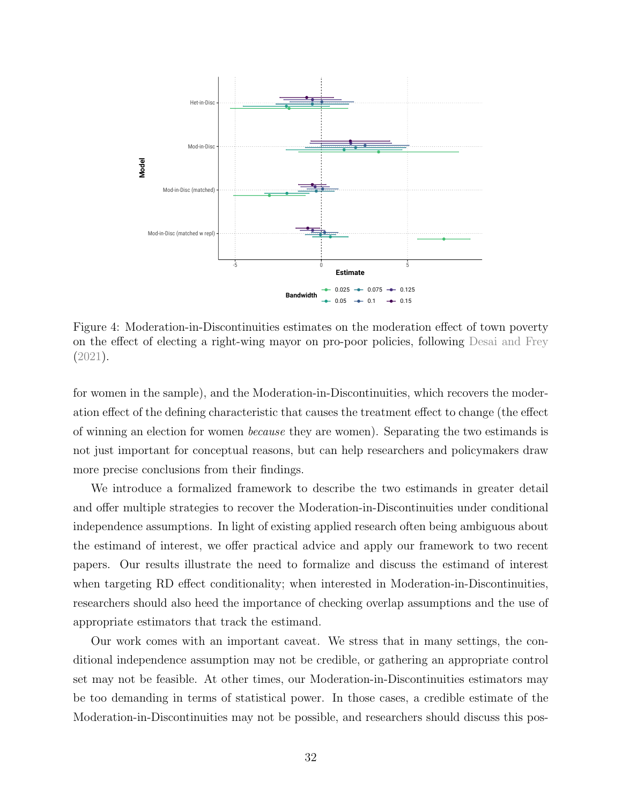<span id="page-32-0"></span>

Figure 4: Moderation-in-Discontinuities estimates on the moderation effect of town poverty on the effect of electing a right-wing mayor on pro-poor policies, following [Desai and Frey](#page-35-7) [\(2021\)](#page-35-7).

for women in the sample), and the Moderation-in-Discontinuities, which recovers the moderation effect of the defining characteristic that causes the treatment effect to change (the effect of winning an election for women because they are women). Separating the two estimands is not just important for conceptual reasons, but can help researchers and policymakers draw more precise conclusions from their findings.

We introduce a formalized framework to describe the two estimands in greater detail and offer multiple strategies to recover the Moderation-in-Discontinuities under conditional independence assumptions. In light of existing applied research often being ambiguous about the estimand of interest, we offer practical advice and apply our framework to two recent papers. Our results illustrate the need to formalize and discuss the estimand of interest when targeting RD effect conditionality; when interested in Moderation-in-Discontinuities, researchers should also heed the importance of checking overlap assumptions and the use of appropriate estimators that track the estimand.

Our work comes with an important caveat. We stress that in many settings, the conditional independence assumption may not be credible, or gathering an appropriate control set may not be feasible. At other times, our Moderation-in-Discontinuities estimators may be too demanding in terms of statistical power. In those cases, a credible estimate of the Moderation-in-Discontinuities may not be possible, and researchers should discuss this pos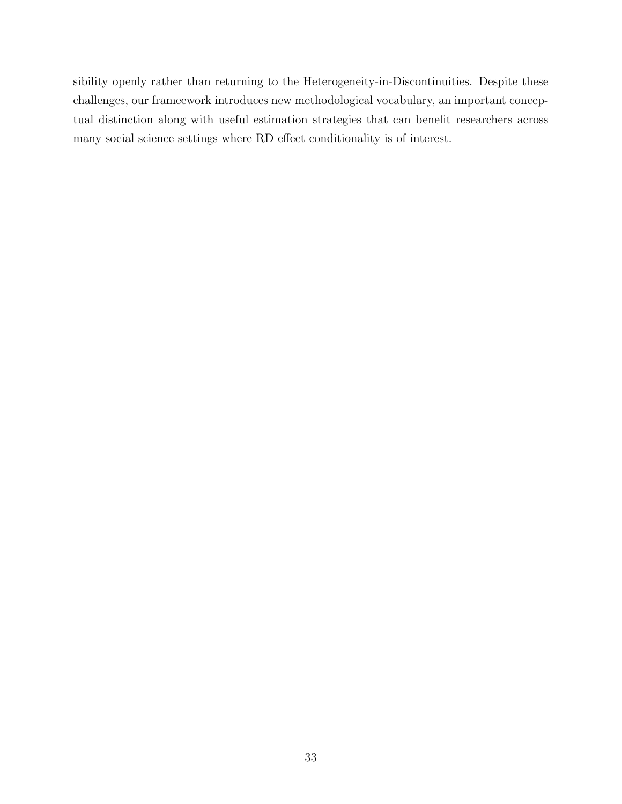sibility openly rather than returning to the Heterogeneity-in-Discontinuities. Despite these challenges, our frameework introduces new methodological vocabulary, an important conceptual distinction along with useful estimation strategies that can benefit researchers across many social science settings where RD effect conditionality is of interest.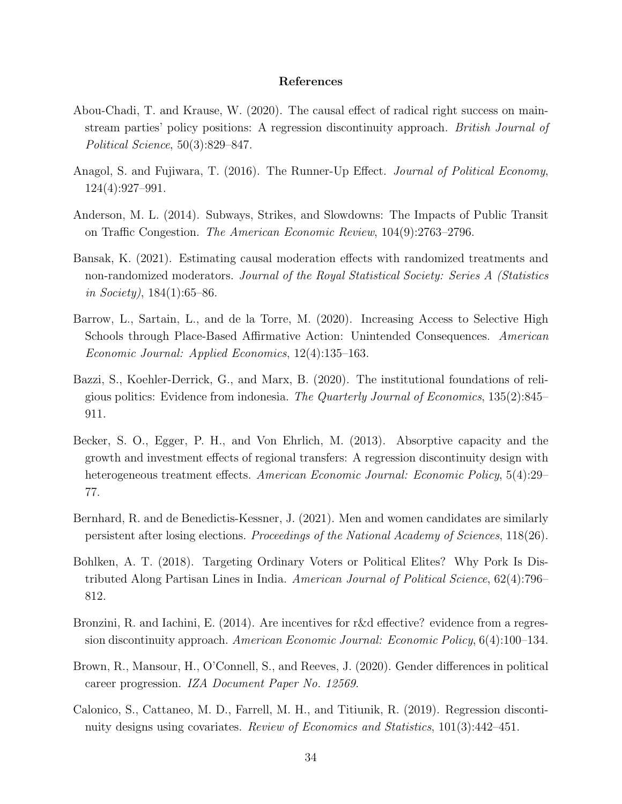## References

- <span id="page-34-0"></span>Abou-Chadi, T. and Krause, W. (2020). The causal effect of radical right success on mainstream parties' policy positions: A regression discontinuity approach. British Journal of Political Science, 50(3):829–847.
- <span id="page-34-1"></span>Anagol, S. and Fujiwara, T. (2016). The Runner-Up Effect. *Journal of Political Economy*, 124(4):927–991.
- <span id="page-34-2"></span>Anderson, M. L. (2014). Subways, Strikes, and Slowdowns: The Impacts of Public Transit on Traffic Congestion. The American Economic Review, 104(9):2763–2796.
- <span id="page-34-10"></span>Bansak, K. (2021). Estimating causal moderation effects with randomized treatments and non-randomized moderators. Journal of the Royal Statistical Society: Series A (Statistics in Society),  $184(1):65-86$ .
- <span id="page-34-3"></span>Barrow, L., Sartain, L., and de la Torre, M. (2020). Increasing Access to Selective High Schools through Place-Based Affirmative Action: Unintended Consequences. American Economic Journal: Applied Economics, 12(4):135–163.
- <span id="page-34-9"></span>Bazzi, S., Koehler-Derrick, G., and Marx, B. (2020). The institutional foundations of religious politics: Evidence from indonesia. The Quarterly Journal of Economics, 135(2):845– 911.
- <span id="page-34-7"></span>Becker, S. O., Egger, P. H., and Von Ehrlich, M. (2013). Absorptive capacity and the growth and investment effects of regional transfers: A regression discontinuity design with heterogeneous treatment effects. American Economic Journal: Economic Policy, 5(4):29– 77.
- <span id="page-34-4"></span>Bernhard, R. and de Benedictis-Kessner, J. (2021). Men and women candidates are similarly persistent after losing elections. Proceedings of the National Academy of Sciences, 118(26).
- <span id="page-34-6"></span>Bohlken, A. T. (2018). Targeting Ordinary Voters or Political Elites? Why Pork Is Distributed Along Partisan Lines in India. American Journal of Political Science, 62(4):796– 812.
- <span id="page-34-11"></span>Bronzini, R. and Iachini, E. (2014). Are incentives for r&d effective? evidence from a regression discontinuity approach. American Economic Journal: Economic Policy, 6(4):100–134.
- <span id="page-34-5"></span>Brown, R., Mansour, H., O'Connell, S., and Reeves, J. (2020). Gender differences in political career progression. IZA Document Paper No. 12569.
- <span id="page-34-8"></span>Calonico, S., Cattaneo, M. D., Farrell, M. H., and Titiunik, R. (2019). Regression discontinuity designs using covariates. Review of Economics and Statistics, 101(3):442–451.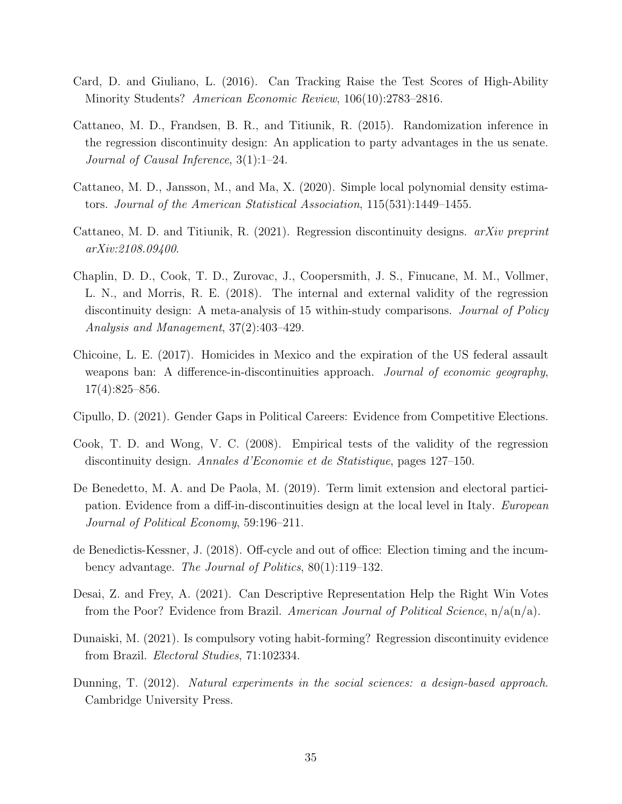- <span id="page-35-4"></span>Card, D. and Giuliano, L. (2016). Can Tracking Raise the Test Scores of High-Ability Minority Students? American Economic Review, 106(10):2783–2816.
- <span id="page-35-10"></span>Cattaneo, M. D., Frandsen, B. R., and Titiunik, R. (2015). Randomization inference in the regression discontinuity design: An application to party advantages in the us senate. Journal of Causal Inference, 3(1):1–24.
- <span id="page-35-11"></span>Cattaneo, M. D., Jansson, M., and Ma, X. (2020). Simple local polynomial density estimators. Journal of the American Statistical Association, 115(531):1449–1455.
- <span id="page-35-12"></span>Cattaneo, M. D. and Titiunik, R. (2021). Regression discontinuity designs. arXiv preprint arXiv:2108.09400.
- <span id="page-35-1"></span>Chaplin, D. D., Cook, T. D., Zurovac, J., Coopersmith, J. S., Finucane, M. M., Vollmer, L. N., and Morris, R. E. (2018). The internal and external validity of the regression discontinuity design: A meta-analysis of 15 within-study comparisons. *Journal of Policy* Analysis and Management, 37(2):403–429.
- <span id="page-35-8"></span>Chicoine, L. E. (2017). Homicides in Mexico and the expiration of the US federal assault weapons ban: A difference-in-discontinuities approach. Journal of economic geography, 17(4):825–856.
- <span id="page-35-6"></span>Cipullo, D. (2021). Gender Gaps in Political Careers: Evidence from Competitive Elections.
- <span id="page-35-2"></span>Cook, T. D. and Wong, V. C. (2008). Empirical tests of the validity of the regression discontinuity design. Annales d'Economie et de Statistique, pages 127–150.
- <span id="page-35-9"></span>De Benedetto, M. A. and De Paola, M. (2019). Term limit extension and electoral participation. Evidence from a diff-in-discontinuities design at the local level in Italy. European Journal of Political Economy, 59:196–211.
- <span id="page-35-5"></span>de Benedictis-Kessner, J. (2018). Off-cycle and out of office: Election timing and the incumbency advantage. The Journal of Politics, 80(1):119–132.
- <span id="page-35-7"></span>Desai, Z. and Frey, A. (2021). Can Descriptive Representation Help the Right Win Votes from the Poor? Evidence from Brazil. American Journal of Political Science,  $n/a(n/a)$ .
- <span id="page-35-3"></span>Dunaiski, M. (2021). Is compulsory voting habit-forming? Regression discontinuity evidence from Brazil. Electoral Studies, 71:102334.
- <span id="page-35-0"></span>Dunning, T. (2012). Natural experiments in the social sciences: a design-based approach. Cambridge University Press.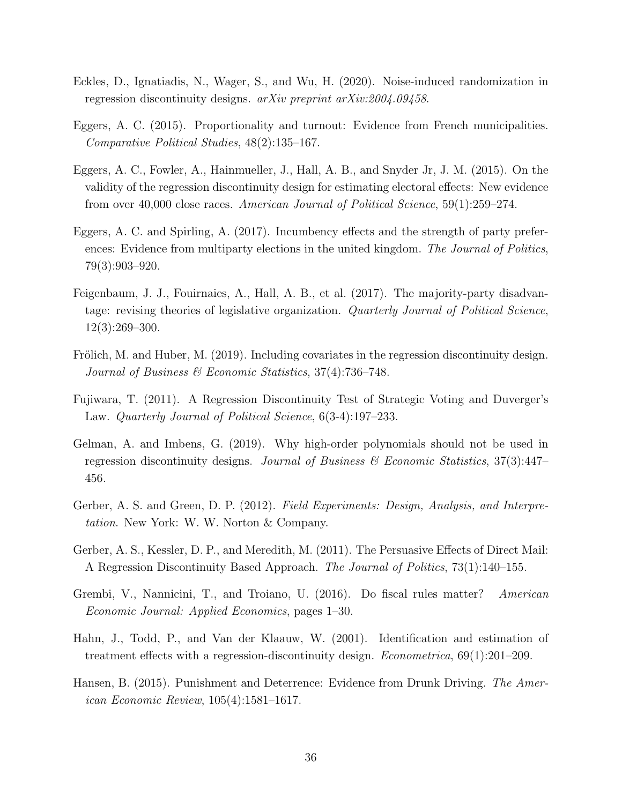- <span id="page-36-12"></span>Eckles, D., Ignatiadis, N., Wager, S., and Wu, H. (2020). Noise-induced randomization in regression discontinuity designs. arXiv preprint arXiv:2004.09458.
- <span id="page-36-1"></span>Eggers, A. C. (2015). Proportionality and turnout: Evidence from French municipalities. Comparative Political Studies, 48(2):135–167.
- <span id="page-36-0"></span>Eggers, A. C., Fowler, A., Hainmueller, J., Hall, A. B., and Snyder Jr, J. M. (2015). On the validity of the regression discontinuity design for estimating electoral effects: New evidence from over 40,000 close races. American Journal of Political Science, 59(1):259–274.
- <span id="page-36-6"></span>Eggers, A. C. and Spirling, A. (2017). Incumbency effects and the strength of party preferences: Evidence from multiparty elections in the united kingdom. The Journal of Politics, 79(3):903–920.
- <span id="page-36-9"></span>Feigenbaum, J. J., Fouirnaies, A., Hall, A. B., et al. (2017). The majority-party disadvantage: revising theories of legislative organization. Quarterly Journal of Political Science, 12(3):269–300.
- <span id="page-36-8"></span>Frölich, M. and Huber, M. (2019). Including covariates in the regression discontinuity design. Journal of Business & Economic Statistics, 37(4):736–748.
- <span id="page-36-2"></span>Fujiwara, T. (2011). A Regression Discontinuity Test of Strategic Voting and Duverger's Law. Quarterly Journal of Political Science, 6(3-4):197–233.
- <span id="page-36-11"></span>Gelman, A. and Imbens, G. (2019). Why high-order polynomials should not be used in regression discontinuity designs. Journal of Business & Economic Statistics,  $37(3):447-$ 456.
- <span id="page-36-5"></span>Gerber, A. S. and Green, D. P. (2012). Field Experiments: Design, Analysis, and Interpretation. New York: W. W. Norton & Company.
- <span id="page-36-3"></span>Gerber, A. S., Kessler, D. P., and Meredith, M. (2011). The Persuasive Effects of Direct Mail: A Regression Discontinuity Based Approach. The Journal of Politics, 73(1):140–155.
- <span id="page-36-7"></span>Grembi, V., Nannicini, T., and Troiano, U. (2016). Do fiscal rules matter? American Economic Journal: Applied Economics, pages 1–30.
- <span id="page-36-10"></span>Hahn, J., Todd, P., and Van der Klaauw, W. (2001). Identification and estimation of treatment effects with a regression-discontinuity design. Econometrica, 69(1):201–209.
- <span id="page-36-4"></span>Hansen, B. (2015). Punishment and Deterrence: Evidence from Drunk Driving. The American Economic Review, 105(4):1581–1617.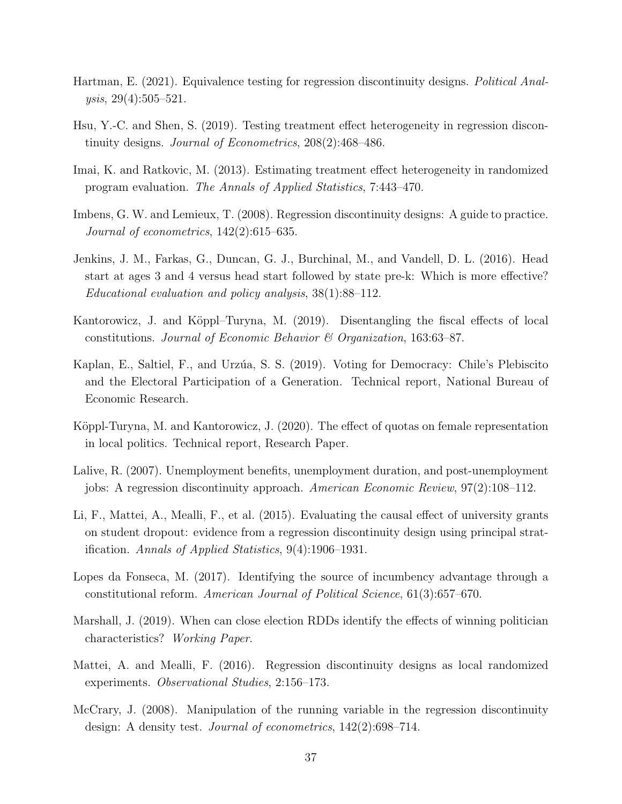- <span id="page-37-13"></span>Hartman, E. (2021). Equivalence testing for regression discontinuity designs. Political Analysis, 29(4):505–521.
- <span id="page-37-4"></span>Hsu, Y.-C. and Shen, S. (2019). Testing treatment effect heterogeneity in regression discontinuity designs. Journal of Econometrics, 208(2):468–486.
- <span id="page-37-2"></span>Imai, K. and Ratkovic, M. (2013). Estimating treatment effect heterogeneity in randomized program evaluation. The Annals of Applied Statistics, 7:443–470.
- <span id="page-37-9"></span>Imbens, G. W. and Lemieux, T. (2008). Regression discontinuity designs: A guide to practice. Journal of econometrics, 142(2):615–635.
- <span id="page-37-1"></span>Jenkins, J. M., Farkas, G., Duncan, G. J., Burchinal, M., and Vandell, D. L. (2016). Head start at ages 3 and 4 versus head start followed by state pre-k: Which is more effective? Educational evaluation and policy analysis, 38(1):88–112.
- <span id="page-37-6"></span>Kantorowicz, J. and Köppl–Turyna, M. (2019). Disentangling the fiscal effects of local constitutions. Journal of Economic Behavior  $\mathcal C$  Organization, 163:63-87.
- <span id="page-37-0"></span>Kaplan, E., Saltiel, F., and Urzúa, S. S. (2019). Voting for Democracy: Chile's Plebiscito and the Electoral Participation of a Generation. Technical report, National Bureau of Economic Research.
- <span id="page-37-7"></span>Köppl-Turyna, M. and Kantorowicz, J. (2020). The effect of quotas on female representation in local politics. Technical report, Research Paper.
- <span id="page-37-5"></span>Lalive, R. (2007). Unemployment benefits, unemployment duration, and post-unemployment jobs: A regression discontinuity approach. American Economic Review, 97(2):108–112.
- <span id="page-37-10"></span>Li, F., Mattei, A., Mealli, F., et al. (2015). Evaluating the causal effect of university grants on student dropout: evidence from a regression discontinuity design using principal stratification. Annals of Applied Statistics, 9(4):1906–1931.
- <span id="page-37-3"></span>Lopes da Fonseca, M. (2017). Identifying the source of incumbency advantage through a constitutional reform. American Journal of Political Science, 61(3):657–670.
- <span id="page-37-8"></span>Marshall, J. (2019). When can close election RDDs identify the effects of winning politician characteristics? Working Paper.
- <span id="page-37-11"></span>Mattei, A. and Mealli, F. (2016). Regression discontinuity designs as local randomized experiments. Observational Studies, 2:156–173.
- <span id="page-37-12"></span>McCrary, J. (2008). Manipulation of the running variable in the regression discontinuity design: A density test. Journal of econometrics, 142(2):698–714.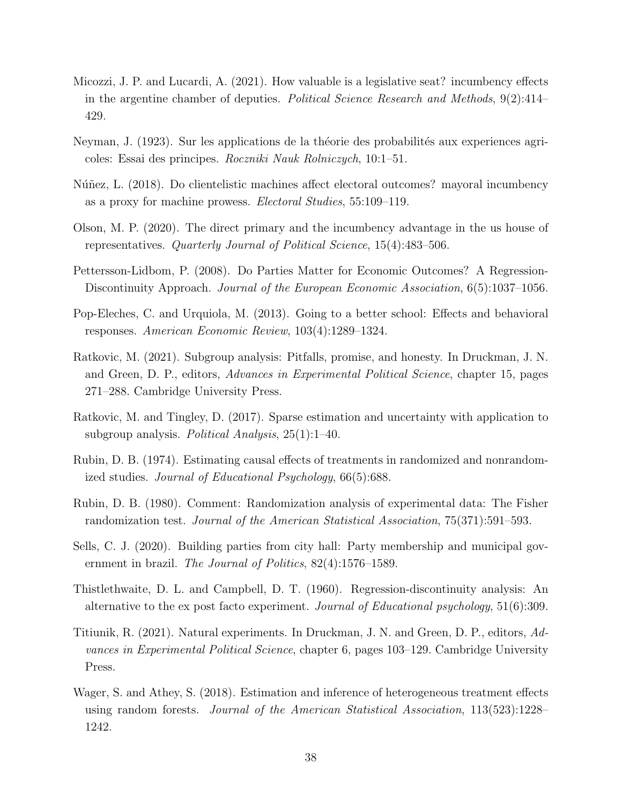- <span id="page-38-12"></span>Micozzi, J. P. and Lucardi, A. (2021). How valuable is a legislative seat? incumbency effects in the argentine chamber of deputies. *Political Science Research and Methods*, 9(2):414– 429.
- <span id="page-38-8"></span>Neyman, J. (1923). Sur les applications de la théorie des probabilités aux experiences agricoles: Essai des principes. Roczniki Nauk Rolniczych, 10:1–51.
- <span id="page-38-6"></span>Núñez, L. (2018). Do clientelistic machines affect electoral outcomes? mayoral incumbency as a proxy for machine prowess. Electoral Studies, 55:109–119.
- <span id="page-38-7"></span>Olson, M. P. (2020). The direct primary and the incumbency advantage in the us house of representatives. Quarterly Journal of Political Science, 15(4):483–506.
- <span id="page-38-2"></span>Pettersson-Lidbom, P. (2008). Do Parties Matter for Economic Outcomes? A Regression-Discontinuity Approach. Journal of the European Economic Association, 6(5):1037–1056.
- <span id="page-38-11"></span>Pop-Eleches, C. and Urquiola, M. (2013). Going to a better school: Effects and behavioral responses. American Economic Review, 103(4):1289–1324.
- <span id="page-38-3"></span>Ratkovic, M. (2021). Subgroup analysis: Pitfalls, promise, and honesty. In Druckman, J. N. and Green, D. P., editors, Advances in Experimental Political Science, chapter 15, pages 271–288. Cambridge University Press.
- <span id="page-38-4"></span>Ratkovic, M. and Tingley, D. (2017). Sparse estimation and uncertainty with application to subgroup analysis. Political Analysis,  $25(1)$ :1-40.
- <span id="page-38-9"></span>Rubin, D. B. (1974). Estimating causal effects of treatments in randomized and nonrandomized studies. Journal of Educational Psychology, 66(5):688.
- <span id="page-38-10"></span>Rubin, D. B. (1980). Comment: Randomization analysis of experimental data: The Fisher randomization test. Journal of the American Statistical Association, 75(371):591–593.
- <span id="page-38-13"></span>Sells, C. J. (2020). Building parties from city hall: Party membership and municipal government in brazil. *The Journal of Politics*,  $82(4):1576-1589$ .
- <span id="page-38-0"></span>Thistlethwaite, D. L. and Campbell, D. T. (1960). Regression-discontinuity analysis: An alternative to the ex post facto experiment. Journal of Educational psychology, 51(6):309.
- <span id="page-38-1"></span>Titiunik, R. (2021). Natural experiments. In Druckman, J. N. and Green, D. P., editors, Advances in Experimental Political Science, chapter 6, pages 103–129. Cambridge University Press.
- <span id="page-38-5"></span>Wager, S. and Athey, S. (2018). Estimation and inference of heterogeneous treatment effects using random forests. Journal of the American Statistical Association, 113(523):1228– 1242.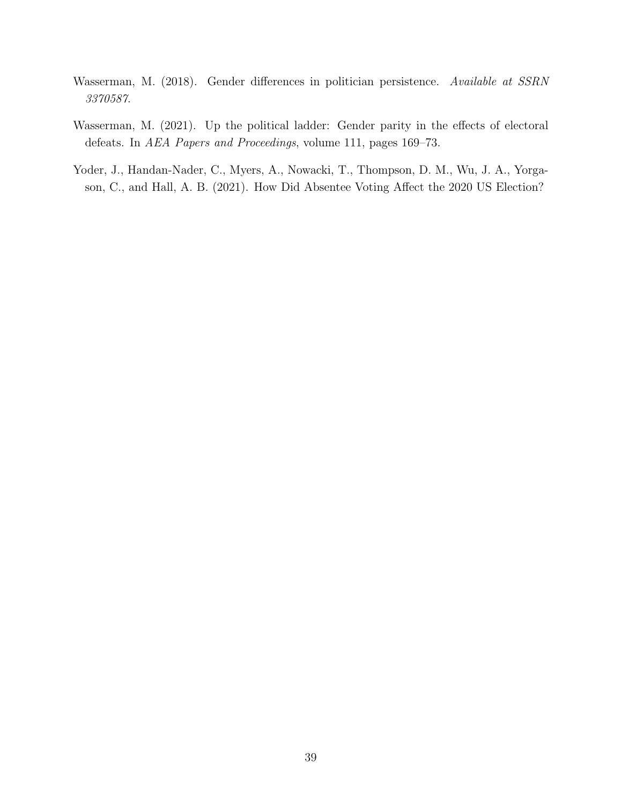- <span id="page-39-1"></span>Wasserman, M. (2018). Gender differences in politician persistence. Available at SSRN 3370587.
- <span id="page-39-2"></span>Wasserman, M. (2021). Up the political ladder: Gender parity in the effects of electoral defeats. In AEA Papers and Proceedings, volume 111, pages 169–73.
- <span id="page-39-0"></span>Yoder, J., Handan-Nader, C., Myers, A., Nowacki, T., Thompson, D. M., Wu, J. A., Yorgason, C., and Hall, A. B. (2021). How Did Absentee Voting Affect the 2020 US Election?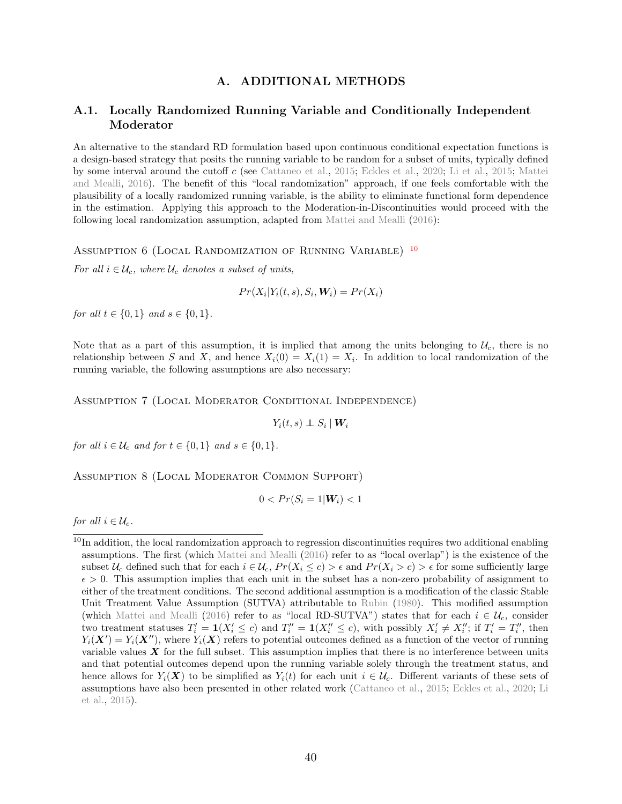# A. ADDITIONAL METHODS

# <span id="page-40-0"></span>A.1. Locally Randomized Running Variable and Conditionally Independent Moderator

An alternative to the standard RD formulation based upon continuous conditional expectation functions is a design-based strategy that posits the running variable to be random for a subset of units, typically defined by some interval around the cutoff c (see [Cattaneo et al.,](#page-35-10) [2015;](#page-35-10) [Eckles et al.,](#page-36-12) [2020;](#page-36-12) [Li et al.,](#page-37-10) [2015;](#page-37-10) [Mattei](#page-37-11) [and Mealli,](#page-37-11) [2016\)](#page-37-11). The benefit of this "local randomization" approach, if one feels comfortable with the plausibility of a locally randomized running variable, is the ability to eliminate functional form dependence in the estimation. Applying this approach to the Moderation-in-Discontinuities would proceed with the following local randomization assumption, adapted from [Mattei and Mealli](#page-37-11) [\(2016\)](#page-37-11):

<span id="page-40-1"></span>ASSUMPTION 6 (LOCAL RANDOMIZATION OF RUNNING VARIABLE) <sup>[10](#page-0-0)</sup>

For all  $i \in \mathcal{U}_c$ , where  $\mathcal{U}_c$  denotes a subset of units,

$$
Pr(X_i|Y_i(t,s), S_i, \mathbf{W}_i) = Pr(X_i)
$$

for all  $t \in \{0, 1\}$  and  $s \in \{0, 1\}$ .

Note that as a part of this assumption, it is implied that among the units belonging to  $U_c$ , there is no relationship between S and X, and hence  $X_i(0) = X_i(1) = X_i$ . In addition to local randomization of the running variable, the following assumptions are also necessary:

Assumption 7 (Local Moderator Conditional Independence)

 $Y_i(t,s) \perp\!\!\!\!\perp S_i\mid \bm{W}_i$ 

for all  $i \in \mathcal{U}_c$  and for  $t \in \{0,1\}$  and  $s \in \{0,1\}$ .

<span id="page-40-2"></span>Assumption 8 (Local Moderator Common Support)

 $0 < Pr(S_i = 1 | W_i) < 1$ 

for all  $i \in \mathcal{U}_c$ .

 $10$ In addition, the local randomization approach to regression discontinuities requires two additional enabling assumptions. The first (which [Mattei and Mealli](#page-37-11) [\(2016\)](#page-37-11) refer to as "local overlap") is the existence of the subset  $U_c$  defined such that for each  $i \in U_c$ ,  $Pr(X_i \le c) > \epsilon$  and  $Pr(X_i > c) > \epsilon$  for some sufficiently large  $\epsilon > 0$ . This assumption implies that each unit in the subset has a non-zero probability of assignment to either of the treatment conditions. The second additional assumption is a modification of the classic Stable Unit Treatment Value Assumption (SUTVA) attributable to [Rubin](#page-38-10) [\(1980\)](#page-38-10). This modified assumption (which [Mattei and Mealli](#page-37-11) [\(2016\)](#page-37-11) refer to as "local RD-SUTVA") states that for each  $i \in \mathcal{U}_c$ , consider two treatment statuses  $T'_i = \mathbf{1}(X'_i \le c)$  and  $T''_i = \mathbf{1}(X''_i \le c)$ , with possibly  $X'_i \ne X''_i$ ; if  $T'_i = T''_i$ , then  $Y_i(\boldsymbol{X}') = Y_i(\boldsymbol{X}'')$ , where  $Y_i(\boldsymbol{X})$  refers to potential outcomes defined as a function of the vector of running variable values  $X$  for the full subset. This assumption implies that there is no interference between units and that potential outcomes depend upon the running variable solely through the treatment status, and hence allows for  $Y_i(\mathbf{X})$  to be simplified as  $Y_i(t)$  for each unit  $i \in \mathcal{U}_c$ . Different variants of these sets of assumptions have also been presented in other related work [\(Cattaneo et al.,](#page-35-10) [2015;](#page-35-10) [Eckles et al.,](#page-36-12) [2020;](#page-36-12) [Li](#page-37-10) [et al.,](#page-37-10) [2015\)](#page-37-10).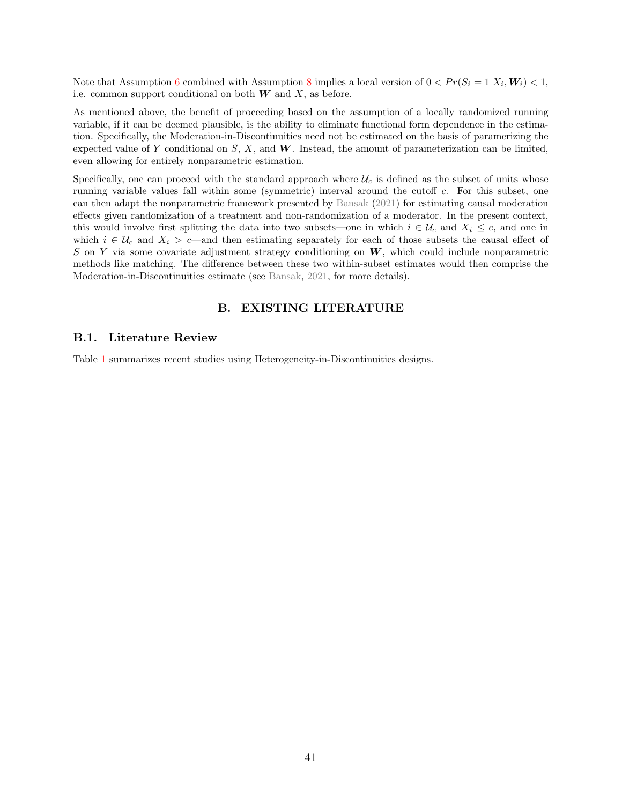Note that Assumption [6](#page-40-1) combined with Assumption [8](#page-40-2) implies a local version of  $0 < Pr(S_i = 1 | X_i, W_i) < 1$ , i.e. common support conditional on both  $W$  and  $X$ , as before.

As mentioned above, the benefit of proceeding based on the assumption of a locally randomized running variable, if it can be deemed plausible, is the ability to eliminate functional form dependence in the estimation. Specifically, the Moderation-in-Discontinuities need not be estimated on the basis of paramerizing the expected value of Y conditional on  $S, X$ , and W. Instead, the amount of parameterization can be limited, even allowing for entirely nonparametric estimation.

Specifically, one can proceed with the standard approach where  $\mathcal{U}_c$  is defined as the subset of units whose running variable values fall within some (symmetric) interval around the cutoff c. For this subset, one can then adapt the nonparametric framework presented by [Bansak](#page-34-10) [\(2021\)](#page-34-10) for estimating causal moderation effects given randomization of a treatment and non-randomization of a moderator. In the present context, this would involve first splitting the data into two subsets—one in which  $i \in \mathcal{U}_c$  and  $X_i \leq c$ , and one in which  $i \in \mathcal{U}_c$  and  $X_i > c$ —and then estimating separately for each of those subsets the causal effect of S on Y via some covariate adjustment strategy conditioning on  $W$ , which could include nonparametric methods like matching. The difference between these two within-subset estimates would then comprise the Moderation-in-Discontinuities estimate (see [Bansak,](#page-34-10) [2021,](#page-34-10) for more details).

# B. EXISTING LITERATURE

#### B.1. Literature Review

Table [1](#page-42-0) summarizes recent studies using Heterogeneity-in-Discontinuities designs.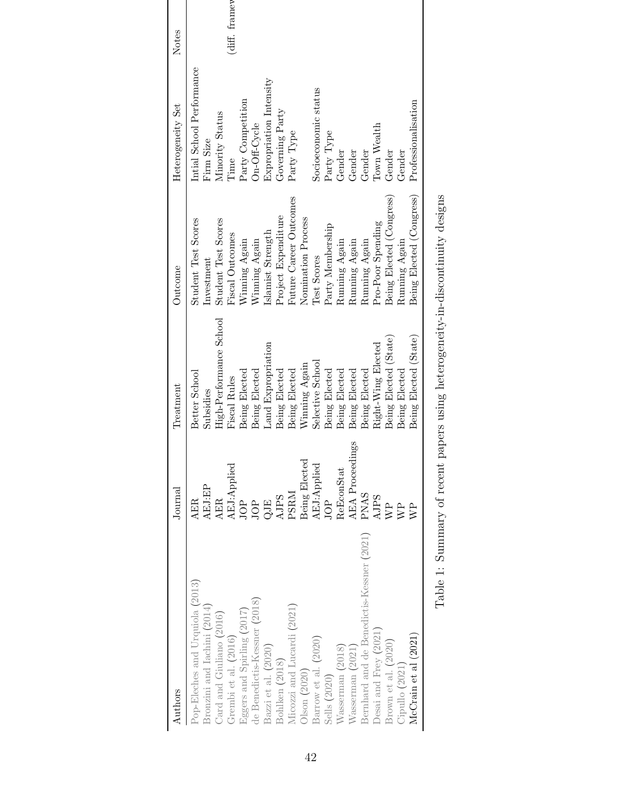<span id="page-42-0"></span>

| Authors                                                  | $_{\rm Journal}$       | Treatment                                                                                                      | Outcome                    | Heterogeneity Set         | Notes           |
|----------------------------------------------------------|------------------------|----------------------------------------------------------------------------------------------------------------|----------------------------|---------------------------|-----------------|
| Pop-Eleches and Urquiola (2013)                          | <b>AER</b>             | Better School                                                                                                  | <b>Student Test Scores</b> | Intial School Performance |                 |
| 3ronzini and Iachini (2014)                              | AEJ:EP                 | Subsidies                                                                                                      | Investment                 | Firm Size                 |                 |
| Card and Giuliano (2016)                                 | <b>AER</b>             | High-Performance School                                                                                        | <b>Student Test Scores</b> | Minority Status           |                 |
| Grembi et al. (2016)                                     | AEJ:Applied            | Fiscal Rules                                                                                                   | Fiscal Outcomes            | Time                      | $(diff.$ framew |
| $E$ ggers and Spirling (2017)                            | JOP                    | Being Elected                                                                                                  | Winning Again              | Party Competition         |                 |
| de Benedictis-Kessner (2018)                             | <b>HOP</b>             | Being Elected                                                                                                  | Winning Again              | On-Off-Cycle              |                 |
| Bazzi et al. (2020)                                      |                        | Land Expropriation                                                                                             | Islamist Strength          | Expropriation Intensity   |                 |
| Bohlken (2018)                                           | <b>AJPS</b>            | Being Elected                                                                                                  | Project Expenditure        | Governing Party           |                 |
| Micozzi and Lucardi (2021)                               | PSRM                   | Being Elected                                                                                                  | Future Career Outcomes     | Party Type                |                 |
| Olson (2020)                                             | Being Elected          | Winning Again                                                                                                  | Nomination Process         |                           |                 |
| Barrow et al. (2020)                                     | AEJ:Applied            | Selective School                                                                                               | Test Scores                | Socioeconomic status      |                 |
| Sells (2020)                                             | JOP                    | Being Elected                                                                                                  | Party Membership           | Party Type                |                 |
| Nasserman (2018)                                         | ReEconStat             | Being Elected                                                                                                  | Running Again              | Gender                    |                 |
| Vasserman (2021)                                         | <b>AEA</b> Proceedings | Being Elected                                                                                                  | Running Again              | Gender                    |                 |
| Bernhard and de Benedictis-Kessner (2021)                | <b>PNAS</b>            | Being Elected                                                                                                  | Running Again              | Gender                    |                 |
| Desai and Frey (2021)                                    | <b>AJPS</b>            | Right-Wing Elected                                                                                             | Pro-Poor Spending          | Town Wealth               |                 |
| Brown et al. (2020)                                      | <b>RE</b>              | Being Elected (State)                                                                                          | Being Elected (Congress)   | Gender                    |                 |
| Cipullo (2021)                                           |                        | Being Elected                                                                                                  | Running Again              | Gender                    |                 |
| McCrain et al (2021)                                     | $\mathbb{R}^n$         | Being Elected (State)                                                                                          | Being Elected (Congress)   | Professionalisation       |                 |
| $T_{\rm A}$ 1.1.2 $T_{\rm A}$ . $C_{\rm max}$ . $\ldots$ |                        | and the later and the state of the state of the state of the state of the state of the state of the state of t |                            |                           |                 |

Table 1: Summary of recent papers using heterogeneity-in-discontinuity designs Table 1: Summary of recent papers using heterogeneity-in-discontinuity designs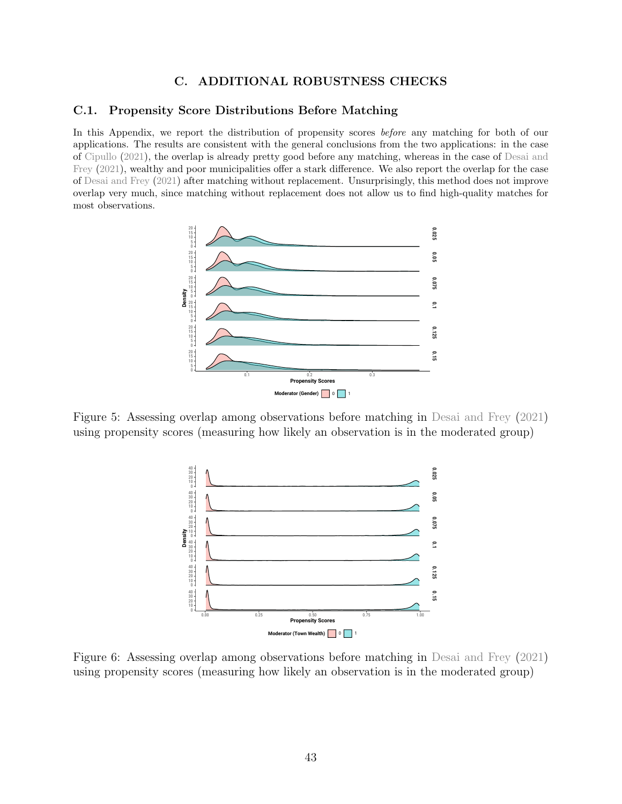# C. ADDITIONAL ROBUSTNESS CHECKS

#### <span id="page-43-0"></span>C.1. Propensity Score Distributions Before Matching

In this Appendix, we report the distribution of propensity scores before any matching for both of our applications. The results are consistent with the general conclusions from the two applications: in the case of [Cipullo](#page-35-6) [\(2021\)](#page-35-6), the overlap is already pretty good before any matching, whereas in the case of [Desai and](#page-35-7) [Frey](#page-35-7) [\(2021\)](#page-35-7), wealthy and poor municipalities offer a stark difference. We also report the overlap for the case of [Desai and Frey](#page-35-7) [\(2021\)](#page-35-7) after matching without replacement. Unsurprisingly, this method does not improve overlap very much, since matching without replacement does not allow us to find high-quality matches for most observations.



Figure 5: Assessing overlap among observations before matching in [Desai and Frey](#page-35-7) [\(2021\)](#page-35-7) using propensity scores (measuring how likely an observation is in the moderated group)



Figure 6: Assessing overlap among observations before matching in [Desai and Frey](#page-35-7) [\(2021\)](#page-35-7) using propensity scores (measuring how likely an observation is in the moderated group)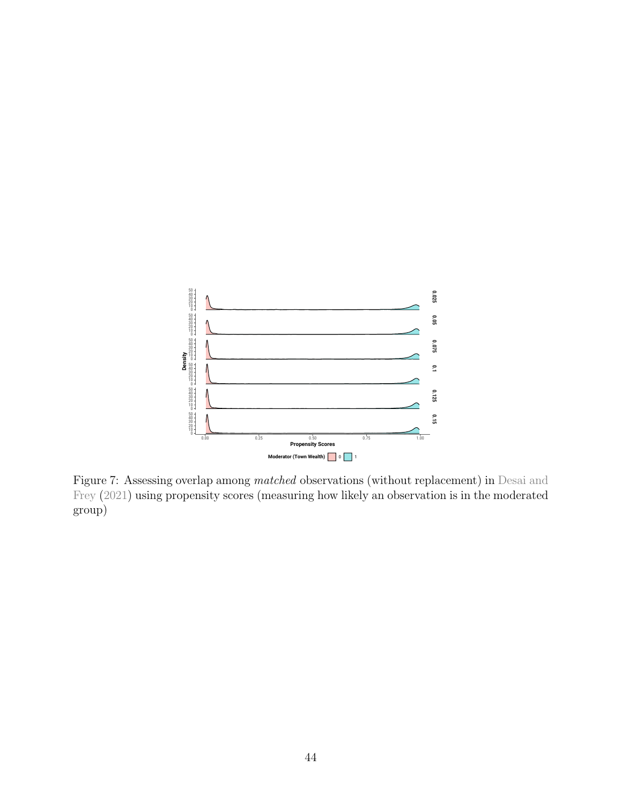

Figure 7: Assessing overlap among matched observations (without replacement) in [Desai and](#page-35-7) [Frey](#page-35-7) [\(2021\)](#page-35-7) using propensity scores (measuring how likely an observation is in the moderated group)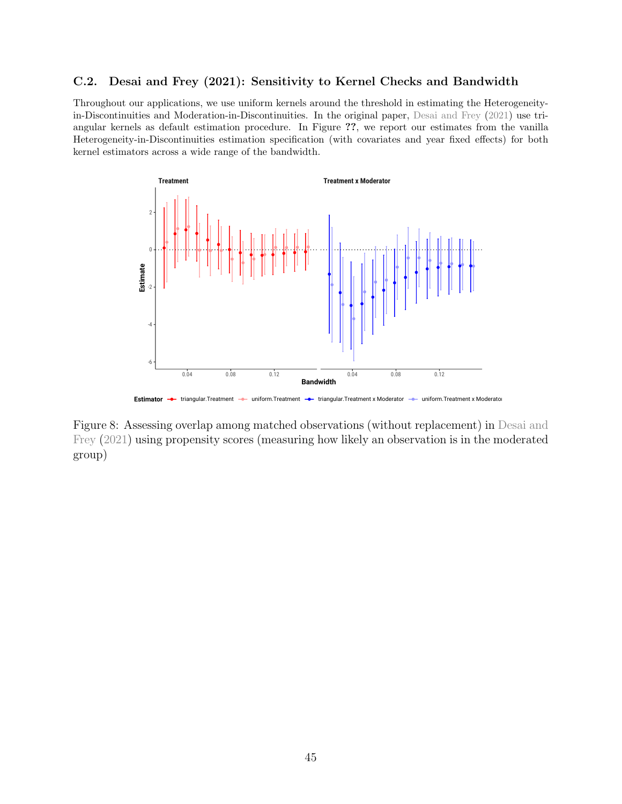# <span id="page-45-0"></span>C.2. Desai and Frey (2021): Sensitivity to Kernel Checks and Bandwidth

Throughout our applications, we use uniform kernels around the threshold in estimating the Heterogeneityin-Discontinuities and Moderation-in-Discontinuities. In the original paper, [Desai and Frey](#page-35-7) [\(2021\)](#page-35-7) use triangular kernels as default estimation procedure. In Figure ??, we report our estimates from the vanilla Heterogeneity-in-Discontinuities estimation specification (with covariates and year fixed effects) for both kernel estimators across a wide range of the bandwidth.



Estimator **+** triangular.Treatment **+** uniform.Treatment **+** triangular.Treatment x Moderator **+** uniform.Treatment x Moderato

Figure 8: Assessing overlap among matched observations (without replacement) in [Desai and](#page-35-7) [Frey](#page-35-7) [\(2021\)](#page-35-7) using propensity scores (measuring how likely an observation is in the moderated group)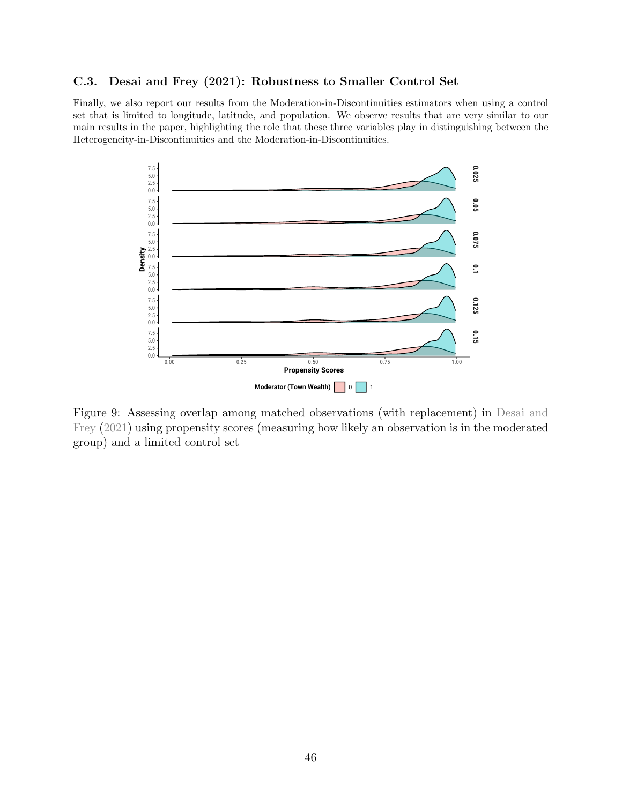# <span id="page-46-0"></span>C.3. Desai and Frey (2021): Robustness to Smaller Control Set

Finally, we also report our results from the Moderation-in-Discontinuities estimators when using a control set that is limited to longitude, latitude, and population. We observe results that are very similar to our main results in the paper, highlighting the role that these three variables play in distinguishing between the Heterogeneity-in-Discontinuities and the Moderation-in-Discontinuities.



Figure 9: Assessing overlap among matched observations (with replacement) in [Desai and](#page-35-7) [Frey](#page-35-7) [\(2021\)](#page-35-7) using propensity scores (measuring how likely an observation is in the moderated group) and a limited control set